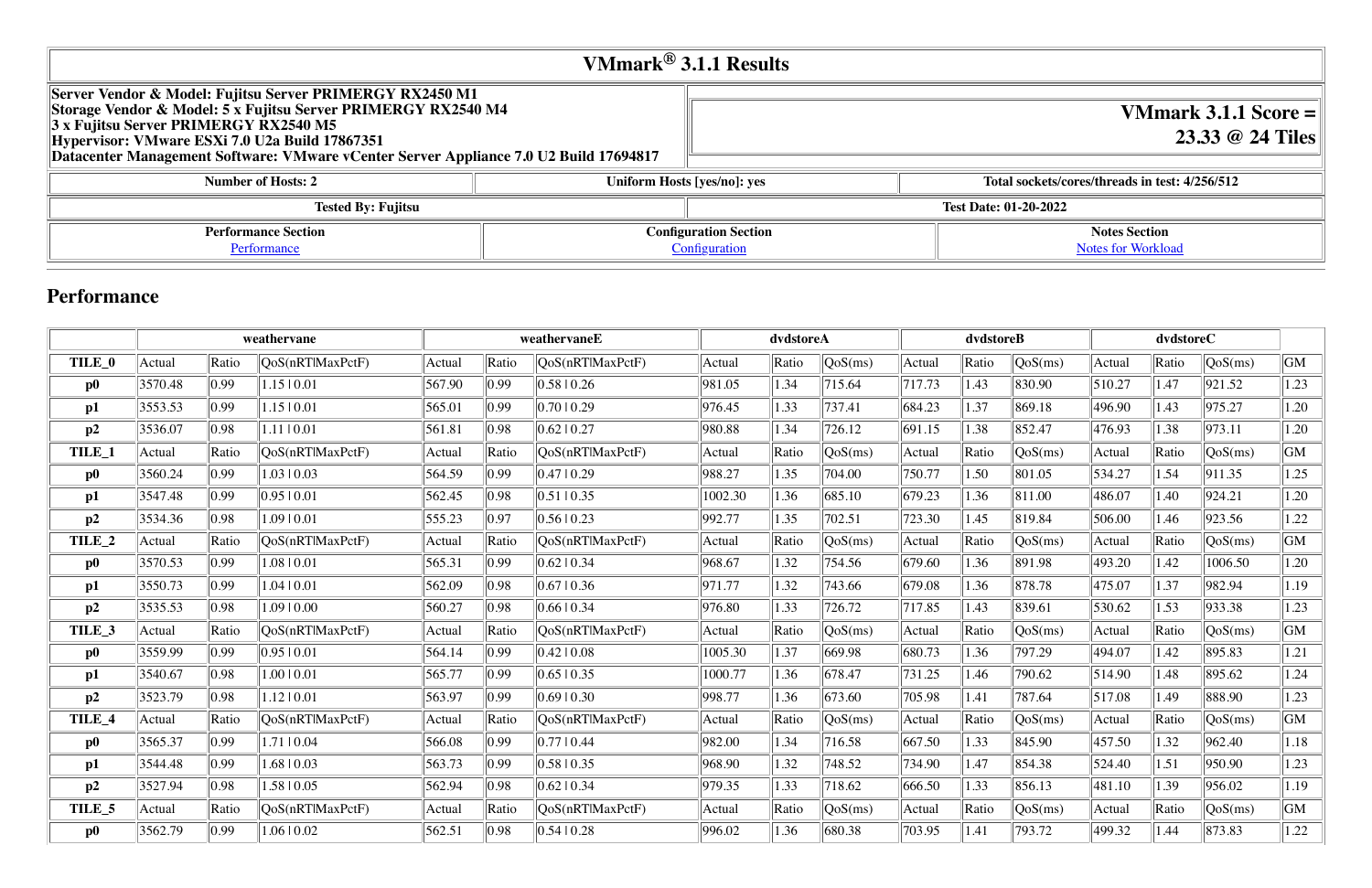## **VMmark® 3.1.1 Results**

| Server Vendor & Model: Fujitsu Server PRIMERGY RX2450 M1<br>Storage Vendor & Model: 5 x Fujitsu Server PRIMERGY RX2540 M4<br>3 x Fujitsu Server PRIMERGY RX2540 M5<br>Hypervisor: VMware ESXi 7.0 U2a Build 17867351<br>Datacenter Management Software: VMware vCenter Server Appliance 7.0 U2 Build 17694817 |                             |                              |  |
|---------------------------------------------------------------------------------------------------------------------------------------------------------------------------------------------------------------------------------------------------------------------------------------------------------------|-----------------------------|------------------------------|--|
| <b>Number of Hosts: 2</b>                                                                                                                                                                                                                                                                                     | Uniform Hosts [yes/no]: yes | Total sockets/c              |  |
| <b>Tested By: Fujitsu</b>                                                                                                                                                                                                                                                                                     |                             | <b>Test Date: 01-20-2022</b> |  |
| <b>Performance Section</b>                                                                                                                                                                                                                                                                                    |                             | <b>Configuration Section</b> |  |
| Performance                                                                                                                                                                                                                                                                                                   | Configuration               |                              |  |

## **VMmark 3.1.1 Score = 23.33 @ 24 Tiles**

#### **Number 12 increads in test: 4/256/512**

**Notes Section** [Notes for Workload](file:///Users/griderr/Documents/ReviewPanel/0201/2022-02-08-Fujitsu.html#NotesForWorkload)

## **Performance**

|          |         |       | weathervane      |        |       | weathervaneE     | dvdstoreA |       |         | dvdstoreB |       |                  | dvdstoreC |       |         |      |
|----------|---------|-------|------------------|--------|-------|------------------|-----------|-------|---------|-----------|-------|------------------|-----------|-------|---------|------|
| TILE_0   | Actual  | Ratio | QoS(nRTlMaxPctF) | Actual | Ratio | QoS(nRTlMaxPctF) | Actual    | Ratio | QoS(ms) | Actual    | Ratio | $\sqrt{QoS(ms)}$ | Actual    | Ratio | QoS(ms) | GM   |
| $\bf p0$ | 3570.48 | 0.99  | 1.1510.01        | 567.90 | 0.99  | 0.5810.26        | 981.05    | 1.34  | 715.64  | 717.73    | 1.43  | 830.90           | 510.27    | 1.47  | 921.52  | 1.23 |
| p1       | 3553.53 | 0.99  | 1.1510.01        | 565.01 | 0.99  | 0.7010.29        | 976.45    | 1.33  | 737.41  | 684.23    | 1.37  | 869.18           | 496.90    | 1.43  | 975.27  | 1.20 |
| p2       | 3536.07 | 0.98  | 1.11   0.01      | 561.81 | 0.98  | $0.62 \mid 0.27$ | 980.88    | 1.34  | 726.12  | 691.15    | 1.38  | 852.47           | 476.93    | 1.38  | 973.11  | 1.20 |
| TILE_1   | Actual  | Ratio | QoS(nRTlMaxPctF) | Actual | Ratio | QoS(nRTlMaxPctF) | Actual    | Ratio | QoS(ms) | Actual    | Ratio | QoS(ms)          | Actual    | Ratio | QoS(ms) | GM   |
| $\bf p0$ | 3560.24 | 0.99  | 1.03   0.03      | 564.59 | 0.99  | 0.4710.29        | 988.27    | 1.35  | 704.00  | 750.77    | 1.50  | 801.05           | 534.27    | 1.54  | 911.35  | 1.25 |
| p1       | 3547.48 | 0.99  | 0.9510.01        | 562.45 | 0.98  | 0.5110.35        | 1002.30   | 1.36  | 685.10  | 679.23    | 1.36  | 811.00           | 486.07    | 1.40  | 924.21  | 1.20 |
| p2       | 3534.36 | 0.98  | 1.0910.01        | 555.23 | 0.97  | 0.5610.23        | 992.77    | 1.35  | 702.51  | 723.30    | 1.45  | 819.84           | 506.00    | 1.46  | 923.56  | 1.22 |
| TILE_2   | Actual  | Ratio | QoS(nRTlMaxPctF) | Actual | Ratio | QoS(nRTlMaxPctF) | Actual    | Ratio | QoS(ms) | Actual    | Ratio | QoS(ms)          | Actual    | Ratio | QoS(ms) | GM   |
| $\bf p0$ | 3570.53 | 0.99  | 1.08   0.01      | 565.31 | 0.99  | $0.62 \mid 0.34$ | 968.67    | 1.32  | 754.56  | 679.60    | 1.36  | 891.98           | 493.20    | 1.42  | 1006.50 | 1.20 |
| p1       | 3550.73 | 0.99  | 1.04   0.01      | 562.09 | 0.98  | $0.67 \mid 0.36$ | 971.77    | 1.32  | 743.66  | 679.08    | 1.36  | 878.78           | 475.07    | 1.37  | 982.94  | 1.19 |
| p2       | 3535.53 | 0.98  | 1.09   0.00      | 560.27 | 0.98  | $0.66 \mid 0.34$ | 976.80    | 1.33  | 726.72  | 717.85    | 1.43  | 839.61           | 530.62    | 1.53  | 933.38  | 1.23 |
| TILE_3   | Actual  | Ratio | QoS(nRTlMaxPctF) | Actual | Ratio | QoS(nRTlMaxPctF) | Actual    | Ratio | QoS(ms) | Actual    | Ratio | QoS(ms)          | Actual    | Ratio | QoS(ms) | GM   |
| $\bf p0$ | 3559.99 | 0.99  | 0.9510.01        | 564.14 | 0.99  | $0.42 \mid 0.08$ | 1005.30   | 1.37  | 669.98  | 680.73    | 1.36  | 797.29           | 494.07    | 1.42  | 895.83  | 1.21 |
| p1       | 3540.67 | 0.98  | 1.0010.01        | 565.77 | 0.99  | $0.65 \mid 0.35$ | 1000.77   | 1.36  | 678.47  | 731.25    | 1.46  | 790.62           | 514.90    | 1.48  | 895.62  | 1.24 |
| p2       | 3523.79 | 0.98  | 1.12   0.01      | 563.97 | 0.99  | $0.69$   $0.30$  | 998.77    | 1.36  | 673.60  | 705.98    | 1.41  | 787.64           | 517.08    | 1.49  | 888.90  | 1.23 |
| TILE_4   | Actual  | Ratio | QoS(nRTlMaxPctF) | Actual | Ratio | QoS(nRTlMaxPctF) | Actual    | Ratio | QoS(ms) | Actual    | Ratio | QoS(ms)          | Actual    | Ratio | QoS(ms) | GM   |
| $\bf p0$ | 3565.37 | 0.99  | 1.71   0.04      | 566.08 | 0.99  | 0.7710.44        | 982.00    | 1.34  | 716.58  | 667.50    | 1.33  | 845.90           | 457.50    | 1.32  | 962.40  | 1.18 |
| p1       | 3544.48 | 0.99  | 1.68   0.03      | 563.73 | 0.99  | 0.5810.35        | 968.90    | 1.32  | 748.52  | 734.90    | 1.47  | 854.38           | 524.40    | 1.51  | 950.90  | 1.23 |
| p2       | 3527.94 | 0.98  | 1.58   0.05      | 562.94 | 0.98  | $0.62 \mid 0.34$ | 979.35    | 1.33  | 718.62  | 666.50    | 1.33  | 856.13           | 481.10    | 1.39  | 956.02  | 1.19 |
| TILE_5   | Actual  | Ratio | QoS(nRTlMaxPctF) | Actual | Ratio | QoS(nRTlMaxPctF) | Actual    | Ratio | QoS(ms) | Actual    | Ratio | QoS(ms)          | Actual    | Ratio | QoS(ms) | GM   |
| $\bf p0$ | 3562.79 | 0.99  | 1.06   0.02      | 562.51 | 0.98  | 0.5410.28        | 996.02    | 1.36  | 680.38  | 703.95    | 1.41  | 793.72           | 499.32    | 1.44  | 873.83  | 1.22 |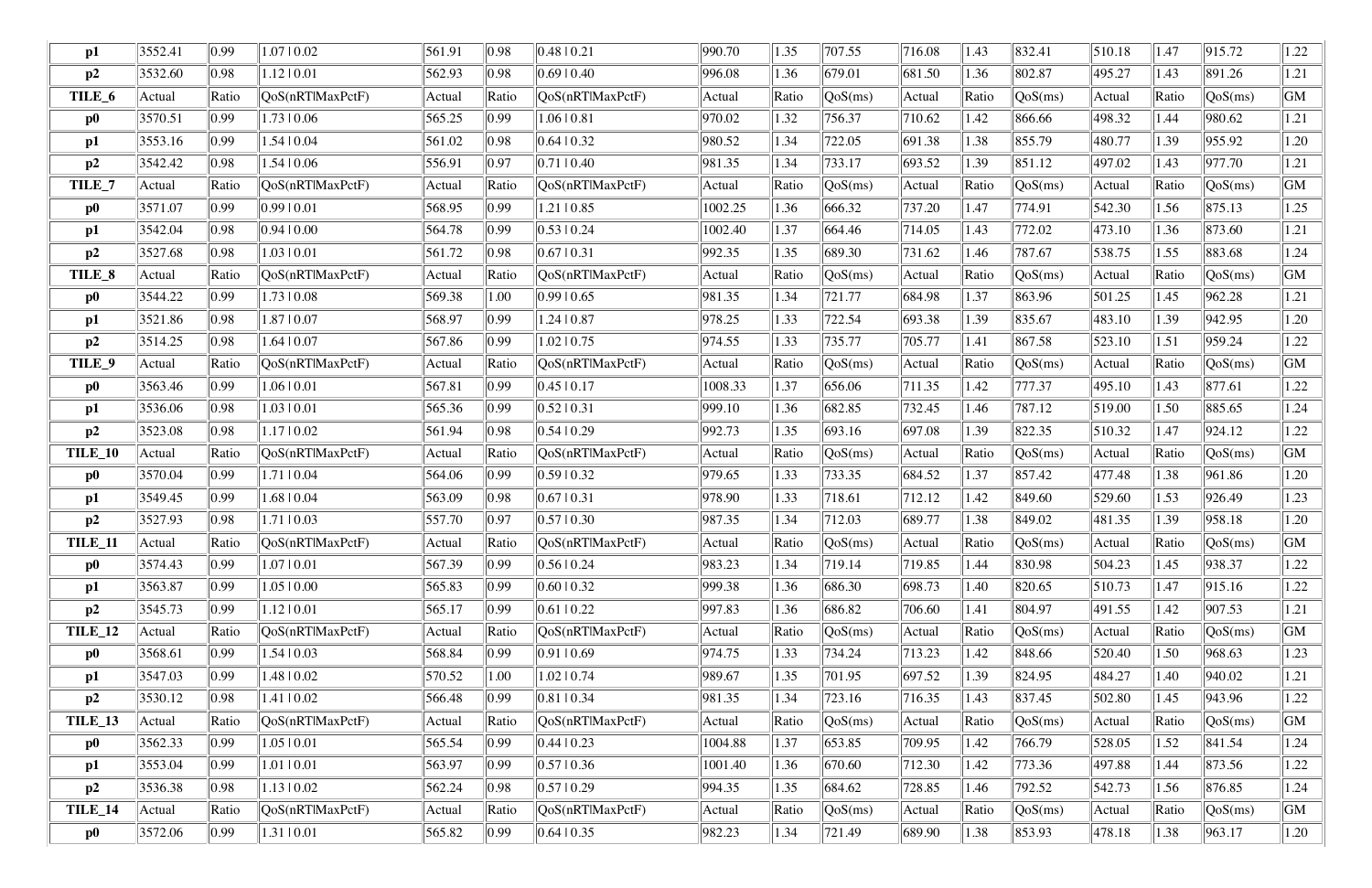| p1             | 3552.41 | 0.99           | 1.07   0.02               | 561.91 | 0.98             | 0.48 10.21               | 990.70  | 1.35  | 707.55  | 716.08       | 1.43  | 832.41                         | 510.18 | 1.47  | 915.72  | 1.22 |
|----------------|---------|----------------|---------------------------|--------|------------------|--------------------------|---------|-------|---------|--------------|-------|--------------------------------|--------|-------|---------|------|
| p2             | 3532.60 | 0.98           | $1.12 \mid 0.01$          | 562.93 | 0.98             | 0.6910.40                | 996.08  | 1.36  | 679.01  | 681.50       | 1.36  | 802.87                         | 495.27 | 1.43  | 891.26  | 1.21 |
| TILE_6         | Actual  | Ratio          | QoS(nRTlMaxPctF)          | Actual | Ratio            | QoS(nRTlMaxPctF)         | Actual  | Ratio | QoS(ms) | Actual       | Ratio | QoS(ms)                        | Actual | Ratio | QoS(ms) | GM   |
| $\bf p0$       | 3570.51 | 0.99           | $1.73 \mid 0.06$          | 565.25 | 0.99             | $1.06 \mid 0.81$         | 970.02  | 1.32  | 756.37  | 710.62       | 1.42  | 866.66                         | 498.32 | 1.44  | 980.62  | 1.21 |
| p1             | 3553.16 | 0.99           | $1.54 \mid 0.04$          | 561.02 | 0.98             | $0.64$   0.32            | 980.52  | 1.34  | 722.05  | 691.38       | 1.38  | 855.79                         | 480.77 | 1.39  | 955.92  | 1.20 |
| p2             | 3542.42 | 0.98           | $1.54 \mid 0.06$          | 556.91 | 0.97             | 0.71 0.40                | 981.35  | 1.34  | 733.17  | 693.52       | 1.39  | 851.12                         | 497.02 | 1.43  | 977.70  | 1.21 |
| TILE_7         | Actual  | Ratio          | QoS(nRTlMaxPctF)          | Actual | Ratio            | QoS(nRTlMaxPctF)         | Actual  | Ratio | QoS(ms) | Actual       | Ratio | QoS(ms)                        | Actual | Ratio | QoS(ms) | GM   |
| $\bf p0$       | 3571.07 | 0.99           | 0.9910.01                 | 568.95 | $ 0.99\rangle$   | 1.21   0.85              | 1002.25 | 1.36  | 666.32  | 737.20       | 1.47  | 774.91                         | 542.30 | 1.56  | 875.13  | 1.25 |
| $\mathbf{p1}$  | 3542.04 | 0.98           | 0.94 0.00                 | 564.78 | 0.99             | $0.53 \pm 0.24$          | 1002.40 | 1.37  | 664.46  | 714.05       | 1.43  | 772.02                         | 473.10 | 1.36  | 873.60  | 1.21 |
| p2             | 3527.68 | 0.98           | 1.03   0.01               | 561.72 | 0.98             | 0.67 0.31                | 992.35  | 1.35  | 689.30  | 731.62       | 1.46  | 787.67                         | 538.75 | 1.55  | 883.68  | 1.24 |
| TILE_8         | Actual  | Ratio          | QoS(nRTlMaxPctF)          | Actual | Ratio            | QoS(nRTlMaxPctF)         | Actual  | Ratio | QoS(ms) | Actual       | Ratio | QoS(ms)                        | Actual | Ratio | QoS(ms) | GM   |
| $\bf p0$       | 3544.22 | 0.99           | 1.73   0.08               | 569.38 | 1.00             | 0.99 0.65                | 981.35  | 1.34  | 721.77  | 684.98       | 1.37  | 863.96                         | 501.25 | 1.45  | 962.28  | 1.21 |
| $\mathbf{p1}$  | 3521.86 | 0.98           | 1.87   0.07               | 568.97 | 0.99             | 1.24   0.87              | 978.25  | 1.33  | 722.54  | 693.38       | 1.39  | 835.67                         | 483.10 | 1.39  | 942.95  | 1.20 |
| p2             | 3514.25 | 0.98           | 1.6410.07                 | 567.86 | 0.99             | $1.02 \mid 0.75$         | 974.55  | 1.33  | 735.77  | 705.77       | 1.41  | 867.58                         | 523.10 | 1.51  | 959.24  | 1.22 |
| TILE_9         | Actual  | Ratio          | QoS(nRTlMaxPctF)          | Actual | Ratio            | QoS(nRTlMaxPctF)         | Actual  | Ratio | QoS(ms) | Actual       | Ratio | QoS(ms)                        | Actual | Ratio | QoS(ms) | GM   |
| $\bf p0$       | 3563.46 | 0.99           | $1.06 \mid 0.01$          | 567.81 | 0.99             | 0.4510.17                | 1008.33 | 1.37  | 656.06  | 711.35       | 1.42  | 777.37                         | 495.10 | 1.43  | 877.61  | 1.22 |
| p1             | 3536.06 | 0.98           | $1.03 \mid 0.01$          | 565.36 | 0.99             | 0.52 10.31               | 999.10  | 1.36  | 682.85  | 732.45       | 1.46  | 787.12                         | 519.00 | 1.50  | 885.65  | 1.24 |
| p2             | 3523.08 | 0.98           | 1.1710.02                 | 561.94 | 0.98             | 0.5410.29                | 992.73  | 1.35  | 693.16  | 697.08       | 1.39  | 822.35                         | 510.32 | 1.47  | 924.12  | 1.22 |
| TILE_10        | Actual  | Ratio          | QoS(nRTlMaxPctF)          | Actual | Ratio            | QoS(nRTlMaxPctF)         | Actual  | Ratio | QoS(ms) | Actual       | Ratio | $\sqrt{QoS(ms)}$               | Actual | Ratio | QoS(ms) | GM   |
| $\bf p0$       | 3570.04 | 0.99           | 1.71   0.04               | 564.06 | 0.99             | 0.5910.32                | 979.65  | 1.33  | 733.35  | 684.52       | 1.37  | 857.42                         | 477.48 | 1.38  | 961.86  | 1.20 |
| p1             | 3549.45 | 0.99           | 1.68   0.04               | 563.09 | 0.98             | 0.67 10.31               | 978.90  | 1.33  | 718.61  | 712.12       | 1.42  | 849.60                         | 529.60 | 1.53  | 926.49  | 1.23 |
| p2             | 3527.93 | 0.98           | 1.71   0.03               | 557.70 | 0.97             | 0.5710.30                | 987.35  | 1.34  | 712.03  | 689.77       | 1.38  | 849.02                         | 481.35 | 1.39  | 958.18  | 1.20 |
| <b>TILE_11</b> | Actual  | Ratio          | $\sqrt{QoS(nRTIMaxPctF)}$ | Actual | Ratio            | [QoS(nRTIMaxPetF)]       | Actual  | Ratio | QoS(ms) | Actual       | Ratio | $\sqrt{\text{QoS}(\text{ms})}$ | Actual | Ratio | QoS(ms) | GM   |
| $\bf p0$       | 3574.43 | $ 0.99\rangle$ | 1.0710.01                 | 567.39 | $\parallel$ 0.99 | $0.56 \mid 0.24$         | 983.23  | 1.34  | 719.14  | $\ 719.85\ $ | 1.44  | 830.98                         | 504.23 | 1.45  | 938.37  | 1.22 |
| p1             | 3563.87 | $ 0.99\rangle$ | $1.05 \mid 0.00$          | 565.83 | $ 0.99\rangle$   | 0.60 0.32                | 999.38  | 1.36  | 686.30  | 698.73       | 1.40  | 820.65                         | 510.73 | 1.47  | 915.16  | 1.22 |
| p2             | 3545.73 | 0.99           | $1.12 \mid 0.01$          | 565.17 | $ 0.99\rangle$   | 0.61 0.22                | 997.83  | 1.36  | 686.82  | 706.60       | 1.41  | $\ 804.97\ $                   | 491.55 | 1.42  | 907.53  | 1.21 |
| <b>TILE_12</b> | Actual  | Ratio          | QoS(nRTlMaxPctF)          | Actual | Ratio            | QoS(nRTlMaxPctF)         | Actual  | Ratio | QoS(ms) | Actual       | Ratio | QoS(ms)                        | Actual | Ratio | QoS(ms) | GM   |
| $\bf p0$       | 3568.61 | 0.99           | $1.54 \mid 0.03$          | 568.84 | $ 0.99\rangle$   | 0.91 0.69                | 974.75  | 1.33  | 734.24  | 713.23       | 1.42  | 848.66                         | 520.40 | 1.50  | 968.63  | 1.23 |
| p1             | 3547.03 | 0.99           | 1.48   0.02               | 570.52 | 1.00             | 1.02   0.74              | 989.67  | 1.35  | 701.95  | $\ 697.52\ $ | 1.39  | 824.95                         | 484.27 | 1.40  | 940.02  | 1.21 |
| p2             | 3530.12 | 0.98           | 1.41   0.02               | 566.48 | $ 0.99\rangle$   | $ 0.81 $ 0.34            | 981.35  | 1.34  | 723.16  | 716.35       | 1.43  | 837.45                         | 502.80 | 1.45  | 943.96  | 1.22 |
| TILE_13        | Actual  | Ratio          | QoS(nRTlMaxPctF)          | Actual | Ratio            | QoS(nRTlMaxPctF)         | Actual  | Ratio | QoS(ms) | Actual       | Ratio | QoS(ms)                        | Actual | Ratio | QoS(ms) | GM   |
| $\bf p0$       | 3562.33 | 0.99           | $1.05 \mid 0.01$          | 565.54 | $ 0.99\rangle$   | 0.44 10.23               | 1004.88 | 1.37  | 653.85  | 709.95       | 1.42  | 766.79                         | 528.05 | 1.52  | 841.54  | 1.24 |
| p1             | 3553.04 | 0.99           | 1.01   0.01               | 563.97 | $ 0.99\rangle$   | 0.5710.36                | 1001.40 | 1.36  | 670.60  | 712.30       | 1.42  | 773.36                         | 497.88 | 1.44  | 873.56  | 1.22 |
| p2             | 3536.38 | 0.98           | $1.13 \mid 0.02$          | 562.24 | 0.98             | 0.5710.29                | 994.35  | 1.35  | 684.62  | 728.85       | 1.46  | 792.52                         | 542.73 | 1.56  | 876.85  | 1.24 |
| TILE_14        | Actual  | Ratio          | QoS(nRTlMaxPctF)          | Actual | Ratio            | $\sqrt{QoS(nRT)MaxPctF}$ | Actual  | Ratio | QoS(ms) | Actual       | Ratio | $\sqrt{QoS(ms)}$               | Actual | Ratio | QoS(ms) | GM   |
| $\bf p0$       | 3572.06 | 0.99           | 1.31   0.01               | 565.82 | 0.99             | 0.64 0.35                | 982.23  | 1.34  | 721.49  | 689.90       | 1.38  | $\ 853.93\ $                   | 478.18 | 1.38  | 963.17  | 1.20 |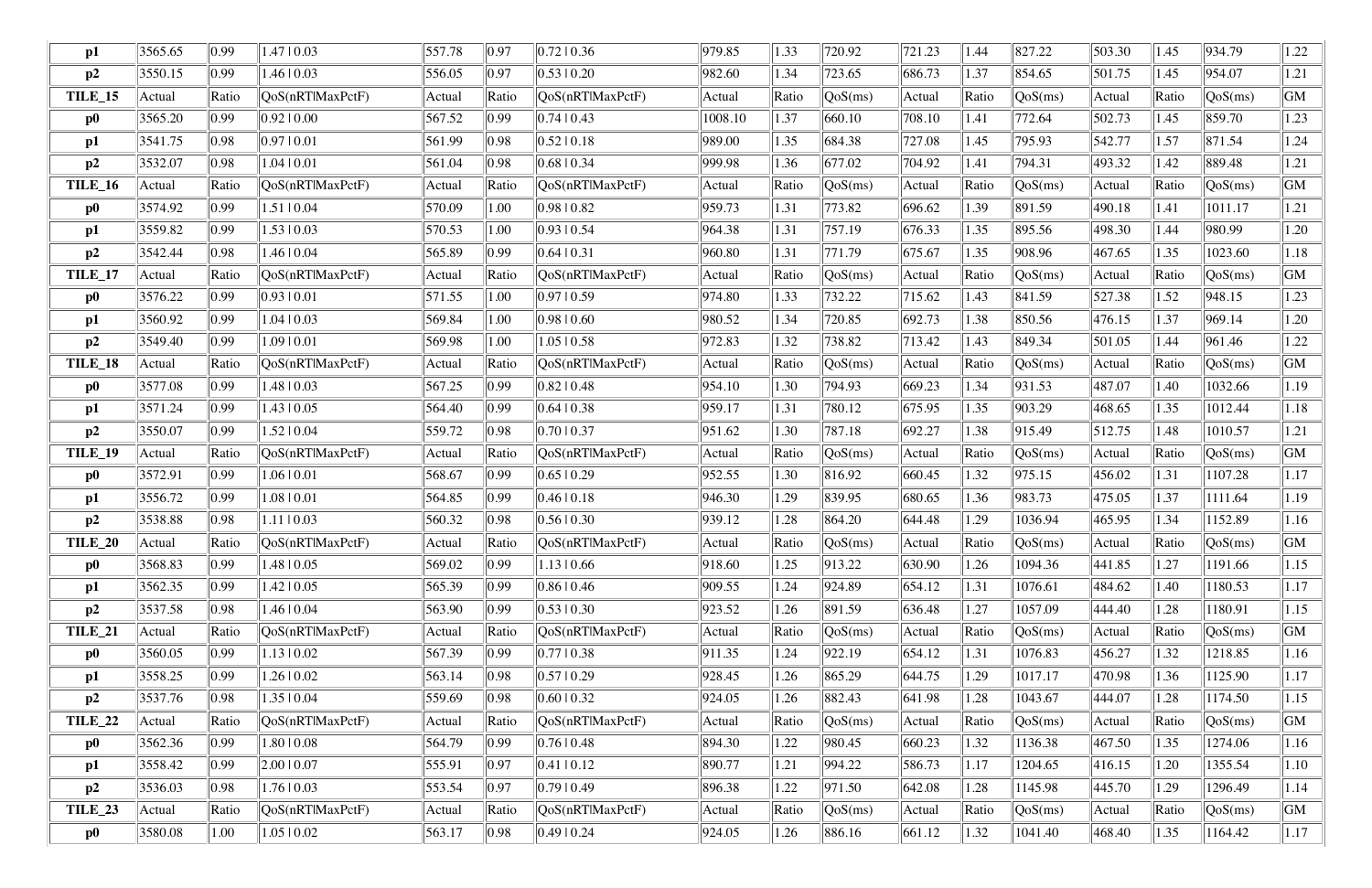| $\mathbf{p1}$  | 3565.65    | 0.99           | $1.47 \mid 0.03$          | 557.78 | 0.97           | 0.7210.36                | 979.85  | 1.33  | 720.92                         | 721.23 | 1.44  | 827.22                         | 503.30 | 1.45  | 934.79  | 1.22 |
|----------------|------------|----------------|---------------------------|--------|----------------|--------------------------|---------|-------|--------------------------------|--------|-------|--------------------------------|--------|-------|---------|------|
| p2             | 3550.15    | 0.99           | $1.46 \mid 0.03$          | 556.05 | 0.97           | $0.53 \pm 0.20$          | 982.60  | 1.34  | 723.65                         | 686.73 | 1.37  | 854.65                         | 501.75 | 1.45  | 954.07  | 1.21 |
| TILE_15        | Actual     | Ratio          | QoS(nRTlMaxPctF)          | Actual | Ratio          | QoS(nRTlMaxPctF)         | Actual  | Ratio | QoS(ms)                        | Actual | Ratio | QoS(ms)                        | Actual | Ratio | QoS(ms) | GM   |
| $\bf p0$       | 3565.20    | 0.99           | 0.92 0.00                 | 567.52 | 0.99           | 0.7410.43                | 1008.10 | 1.37  | 660.10                         | 708.10 | 1.41  | 772.64                         | 502.73 | 1.45  | 859.70  | 1.23 |
| p1             | 3541.75    | 0.98           | 0.9710.01                 | 561.99 | 0.98           | 0.5210.18                | 989.00  | 1.35  | 684.38                         | 727.08 | 1.45  | 795.93                         | 542.77 | 1.57  | 871.54  | 1.24 |
| p2             | 3532.07    | 0.98           | $1.04 \mid 0.01$          | 561.04 | 0.98           | $0.68$   0.34            | 999.98  | 1.36  | 677.02                         | 704.92 | 1.41  | 794.31                         | 493.32 | 1.42  | 889.48  | 1.21 |
| <b>TILE_16</b> | Actual     | Ratio          | QoS(nRTlMaxPctF)          | Actual | Ratio          | QoS(nRTlMaxPctF)         | Actual  | Ratio | QoS(ms)                        | Actual | Ratio | QoS(ms)                        | Actual | Ratio | QoS(ms) | GM   |
| $\bf p0$       | 3574.92    | 0.99           | 1.51   0.04               | 570.09 | 1.00           | 0.9810.82                | 959.73  | 1.31  | 773.82                         | 696.62 | 1.39  | 891.59                         | 490.18 | 1.41  | 1011.17 | 1.21 |
| $\mathbf{p1}$  | 3559.82    | 0.99           | $1.53 \mid 0.03$          | 570.53 | 1.00           | 0.93 0.54                | 964.38  | 1.31  | 757.19                         | 676.33 | 1.35  | 895.56                         | 498.30 | 1.44  | 980.99  | 1.20 |
| p2             | 3542.44    | 0.98           | 1.46   0.04               | 565.89 | $ 0.99\rangle$ | 0.64 10.31               | 960.80  | 1.31  | 771.79                         | 675.67 | 1.35  | 908.96                         | 467.65 | 1.35  | 1023.60 | 1.18 |
| TILE_17        | Actual     | Ratio          | QoS(nRT MaxPctF)          | Actual | Ratio          | QoS(nRTlMaxPctF)         | Actual  | Ratio | QoS(ms)                        | Actual | Ratio | QoS(ms)                        | Actual | Ratio | QoS(ms) | GM   |
| $\bf p0$       | 3576.22    | 0.99           | 0.93 0.01                 | 571.55 | 1.00           | 0.97 0.59                | 974.80  | 1.33  | 732.22                         | 715.62 | 1.43  | 841.59                         | 527.38 | 1.52  | 948.15  | 1.23 |
| $\mathbf{p1}$  | 3560.92    | 0.99           | $1.04 \mid 0.03$          | 569.84 | 1.00           | 0.98 0.60                | 980.52  | 1.34  | 720.85                         | 692.73 | 1.38  | 850.56                         | 476.15 | 1.37  | 969.14  | 1.20 |
| p2             | 3549.40    | 0.99           | 1.0910.01                 | 569.98 | 1.00           | 1.05   0.58              | 972.83  | 1.32  | 738.82                         | 713.42 | 1.43  | 849.34                         | 501.05 | 1.44  | 961.46  | 1.22 |
| TILE_18        | Actual     | Ratio          | QoS(nRTlMaxPctF)          | Actual | Ratio          | QoS(nRTlMaxPctF)         | Actual  | Ratio | QoS(ms)                        | Actual | Ratio | QoS(ms)                        | Actual | Ratio | QoS(ms) | GM   |
| $\bf p0$       | 3577.08    | $ 0.99\rangle$ | $1.48 \mid 0.03$          | 567.25 | $ 0.99\rangle$ | 0.8210.48                | 954.10  | 1.30  | 794.93                         | 669.23 | 1.34  | 931.53                         | 487.07 | 1.40  | 1032.66 | 1.19 |
| p1             | 3571.24    | 0.99           | $1.43 \mid 0.05$          | 564.40 | 0.99           | 0.64 10.38               | 959.17  | 1.31  | 780.12                         | 675.95 | 1.35  | 903.29                         | 468.65 | 1.35  | 1012.44 | 1.18 |
| p2             | 3550.07    | $ 0.99\rangle$ | $1.52 \mid 0.04$          | 559.72 | 0.98           | 0.7010.37                | 951.62  | 1.30  | 787.18                         | 692.27 | 1.38  | 915.49                         | 512.75 | 1.48  | 1010.57 | 1.21 |
| TILE_19        | Actual     | Ratio          | QoS(nRTlMaxPctF)          | Actual | Ratio          | QoS(nRTlMaxPctF)         | Actual  | Ratio | $\sqrt{\text{QoS}(\text{ms})}$ | Actual | Ratio | QoS(ms)                        | Actual | Ratio | QoS(ms) | GM   |
| $\bf p0$       | 3572.91    | 0.99           | $1.06 \mid 0.01$          | 568.67 | 0.99           | $0.65 \pm 0.29$          | 952.55  | 1.30  | 816.92                         | 660.45 | 1.32  | 975.15                         | 456.02 | 1.31  | 1107.28 | 1.17 |
| p1             | 3556.72    | $ 0.99\rangle$ | 1.08   0.01               | 564.85 | $ 0.99\rangle$ | 0.4610.18                | 946.30  | 1.29  | 839.95                         | 680.65 | 1.36  | 983.73                         | 475.05 | 1.37  | 1111.64 | 1.19 |
| p2             | 3538.88    | 0.98           | 1.1110.03                 | 560.32 | 0.98           | 0.5610.30                | 939.12  | 1.28  | 864.20                         | 644.48 | 1.29  | 1036.94                        | 465.95 | 1.34  | 1152.89 | 1.16 |
| <b>TILE_20</b> | $ $ Actual | Ratio          | $\sqrt{QoS(nRTIMaxPctF)}$ | Actual | Ratio          | [QoS(nRTIMaxPetF)]       | Actual  | Ratio | QoS(ms)                        | Actual | Ratio | $\sqrt{\text{QoS}(\text{ms})}$ | Actual | Ratio | QoS(ms) | GM   |
| $\bf p0$       | 3568.83    | $ 0.99\rangle$ | 1.48   0.05               | 569.02 | 0.99           | $1.13 \mid 0.66$         | 918.60  | 1.25  | 913.22                         | 630.90 | 1.26  | 1094.36                        | 441.85 | 1.27  | 1191.66 | 1.15 |
| p1             | 3562.35    | $ 0.99\rangle$ | $1.42 \mid 0.05$          | 565.39 | $ 0.99\rangle$ | 0.86 0.46                | 909.55  | 1.24  | 924.89                         | 654.12 | 1.31  | 1076.61                        | 484.62 | 1.40  | 1180.53 | 1.17 |
| p2             | 3537.58    | 0.98           | 1.46   0.04               | 563.90 | $ 0.99\rangle$ | $0.53 \pm 0.30$          | 923.52  | 1.26  | 891.59                         | 636.48 | 1.27  | 1057.09                        | 444.40 | 1.28  | 1180.91 | 1.15 |
| <b>TILE_21</b> | Actual     | Ratio          | QoS(nRTlMaxPctF)          | Actual | Ratio          | QoS(nRTlMaxPctF)         | Actual  | Ratio | QoS(ms)                        | Actual | Ratio | QoS(ms)                        | Actual | Ratio | QoS(ms) | GM   |
| $\bf p0$       | 3560.05    | 0.99           | $1.13 \mid 0.02$          | 567.39 | $ 0.99\rangle$ | 0.77 0.38                | 911.35  | 1.24  | 922.19                         | 654.12 | 1.31  | 1076.83                        | 456.27 | 1.32  | 1218.85 | 1.16 |
| p1             | 3558.25    | $ 0.99\rangle$ | 1.26   0.02               | 563.14 | 0.98           | 0.5710.29                | 928.45  | 1.26  | 865.29                         | 644.75 | 1.29  | 1017.17                        | 470.98 | 1.36  | 1125.90 | 1.17 |
| p2             | 3537.76    | 0.98           | 1.35   0.04               | 559.69 | 0.98           | 0.6010.32                | 924.05  | 1.26  | 882.43                         | 641.98 | 1.28  | 1043.67                        | 444.07 | 1.28  | 1174.50 | 1.15 |
| <b>TILE_22</b> | Actual     | Ratio          | QoS(nRTlMaxPctF)          | Actual | Ratio          | QoS(nRTlMaxPctF)         | Actual  | Ratio | QoS(ms)                        | Actual | Ratio | QoS(ms)                        | Actual | Ratio | QoS(ms) | GM   |
| $\bf p0$       | 3562.36    | $ 0.99\rangle$ | 1.80   0.08               | 564.79 | $ 0.99\rangle$ | 0.7610.48                | 894.30  | 1.22  | 980.45                         | 660.23 | 1.32  | 1136.38                        | 467.50 | 1.35  | 1274.06 | 1.16 |
| p1             | 3558.42    | 0.99           | 2.00   0.07               | 555.91 | 0.97           | 0.41  0.12               | 890.77  | 1.21  | 994.22                         | 586.73 | 1.17  | 1204.65                        | 416.15 | 1.20  | 1355.54 | 1.10 |
| p2             | 3536.03    | 0.98           | $1.76 \mid 0.03$          | 553.54 | $ 0.97\rangle$ | 0.7910.49                | 896.38  | 1.22  | 971.50                         | 642.08 | 1.28  | 1145.98                        | 445.70 | 1.29  | 1296.49 | 1.14 |
| <b>TILE_23</b> | Actual     | Ratio          | QoS(nRTlMaxPctF)          | Actual | Ratio          | $\sqrt{QoS(nRT)MaxPctF}$ | Actual  | Ratio | QoS(ms)                        | Actual | Ratio | $\sqrt{QoS(ms)}$               | Actual | Ratio | QoS(ms) | GM   |
| $\bf p0$       | 3580.08    | 1.00           | $1.05 \mid 0.02$          | 563.17 | 0.98           | 0.49  0.24               | 924.05  | 1.26  | 886.16                         | 661.12 | 1.32  | 1041.40                        | 468.40 | 1.35  | 1164.42 | 1.17 |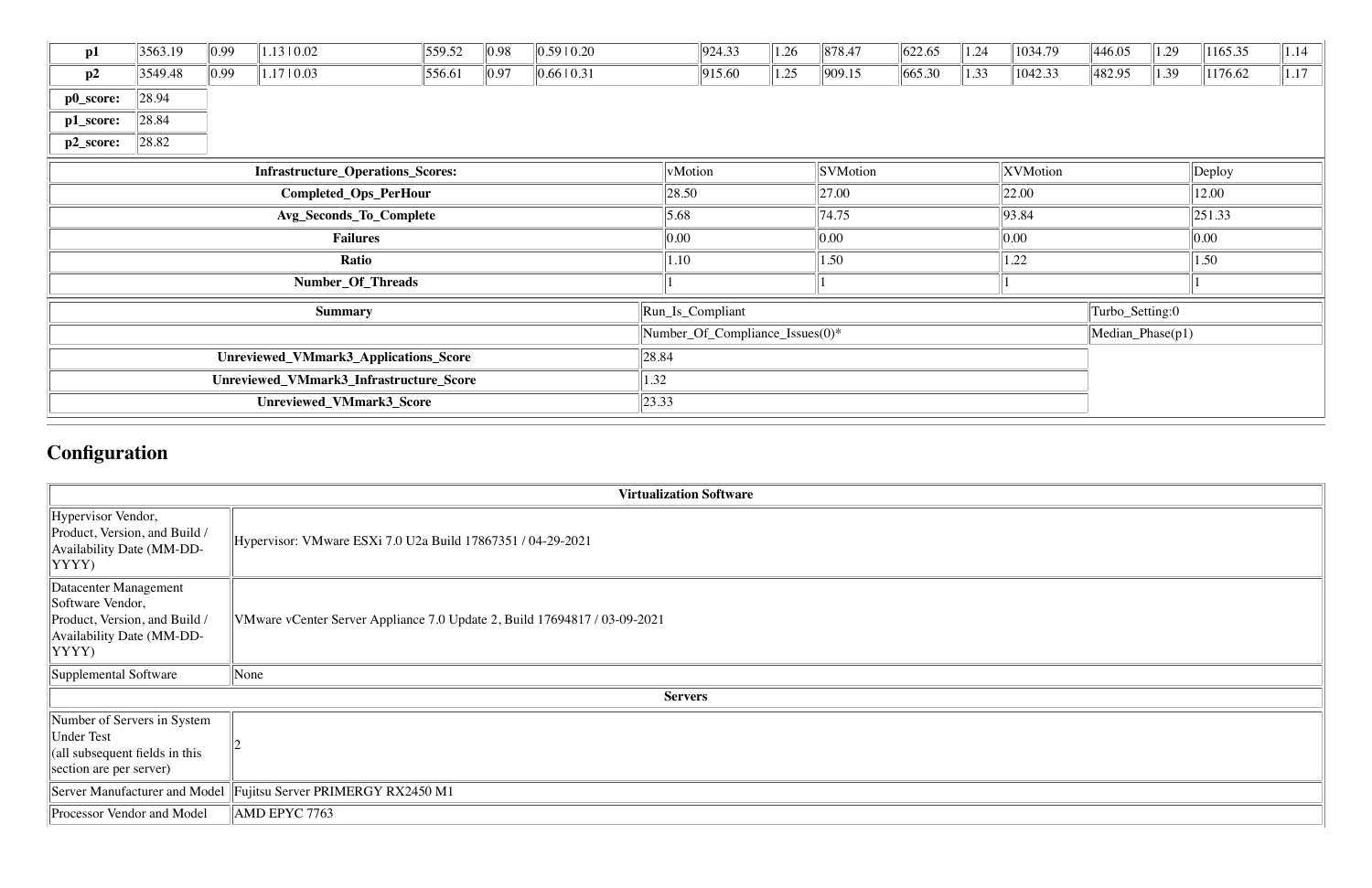| p1              | 3563.19 | 0.99           | $1.13 \mid 0.02$                         | 559.52 | $\parallel$ 0.98 | 0.5910.20       | 924.33                          | 1.26 | 878.47          | 622.65 | 1.24       | 1034.79           | 446.05           | 1.29       | 1165.35      | 1.14 |
|-----------------|---------|----------------|------------------------------------------|--------|------------------|-----------------|---------------------------------|------|-----------------|--------|------------|-------------------|------------------|------------|--------------|------|
| p2              | 3549.48 | $ 0.99\rangle$ | 1.1710.03                                | 556.61 | $\parallel$ 0.97 | 0.66 0.31       | 915.60                          | 1.25 | 909.15          | 665.30 | 1.33       | 1042.33           | 482.95           | 1.39       | 1176.62      | 1.17 |
| p0_score:       | 28.94   |                |                                          |        |                  |                 |                                 |      |                 |        |            |                   |                  |            |              |      |
| p1_score:       | 28.84   |                |                                          |        |                  |                 |                                 |      |                 |        |            |                   |                  |            |              |      |
| p2_score:       | 28.82   |                |                                          |        |                  |                 |                                 |      |                 |        |            |                   |                  |            |              |      |
|                 |         |                | <b>Infrastructure_Operations_Scores:</b> |        |                  |                 | vMotion                         |      | <b>SVMotion</b> |        |            | XVMotion          |                  |            | Deploy       |      |
|                 |         |                | Completed_Ops_PerHour                    |        |                  |                 | 28.50                           |      | 27.00           |        |            | $\parallel$ 22.00 |                  |            | 12.00        |      |
|                 |         |                | Avg_Seconds_To_Complete                  |        |                  |                 | 5.68                            |      | 74.75           |        |            | 93.84             |                  |            | $\ 251.33\ $ |      |
| <b>Failures</b> |         |                |                                          |        |                  | 0.00            |                                 | 0.00 |                 |        | $\ 0.00\ $ |                   |                  | $\ 0.00\ $ |              |      |
| Ratio           |         |                |                                          |        |                  | 1.10            |                                 | 1.50 |                 |        | 1.22       |                   |                  | 1.50       |              |      |
|                 |         |                | Number_Of_Threads                        |        |                  |                 |                                 |      |                 |        |            |                   |                  |            |              |      |
|                 |         |                | <b>Summary</b>                           |        |                  |                 | Run_Is_Compliant                |      |                 |        |            |                   | Turbo_Setting:0  |            |              |      |
|                 |         |                |                                          |        |                  |                 | Number_Of_Compliance_Issues(0)* |      |                 |        |            |                   | Median_Phase(p1) |            |              |      |
|                 |         |                | Unreviewed_VMmark3_Applications_Score    |        |                  | 28.84           |                                 |      |                 |        |            |                   |                  |            |              |      |
|                 |         |                | Unreviewed_VMmark3_Infrastructure_Score  |        |                  | 1.32            |                                 |      |                 |        |            |                   |                  |            |              |      |
|                 |         |                | Unreviewed_VMmark3_Score                 |        |                  | $ 23.33\rangle$ |                                 |      |                 |        |            |                   |                  |            |              |      |

# **Configuration**

|                                                                                                                  | <b>Virtualization Software</b>                                            |
|------------------------------------------------------------------------------------------------------------------|---------------------------------------------------------------------------|
| Hypervisor Vendor,<br>Product, Version, and Build /<br>Availability Date (MM-DD-<br>YYYY)                        | Hypervisor: VMware ESXi 7.0 U2a Build 17867351 / 04-29-2021               |
| Datacenter Management<br>Software Vendor,<br>Product, Version, and Build /<br>Availability Date (MM-DD-<br>YYYY) | VMware vCenter Server Appliance 7.0 Update 2, Build 17694817 / 03-09-2021 |
| Supplemental Software                                                                                            | $\sqrt{\frac{1}{2}}$                                                      |
|                                                                                                                  | <b>Servers</b>                                                            |
| Number of Servers in System<br><b>Under Test</b><br>(all subsequent fields in this<br>section are per server)    |                                                                           |
| Server Manufacturer and Model                                                                                    | Fujitsu Server PRIMERGY RX2450 M1                                         |
| Processor Vendor and Model                                                                                       | AMD EPYC 7763                                                             |

| the control of the control of the control of the control of<br>the control of the control of the control of the |
|-----------------------------------------------------------------------------------------------------------------|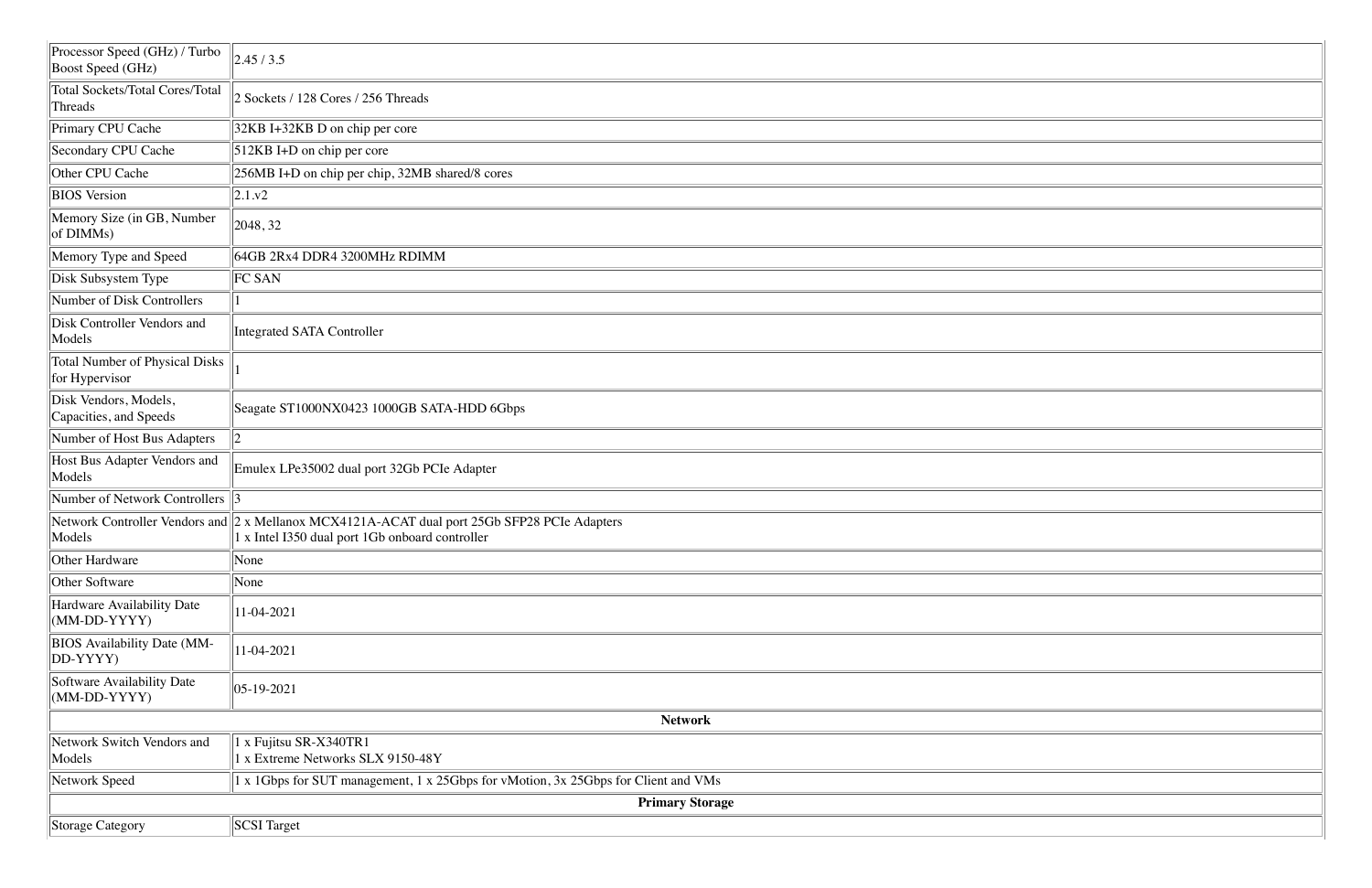| Processor Speed (GHz) / Turbo<br><b>Boost Speed (GHz)</b> | 2.45/3.5                                                                                                                                                    |
|-----------------------------------------------------------|-------------------------------------------------------------------------------------------------------------------------------------------------------------|
| <b>Total Sockets/Total Cores/Total</b><br>Threads         | 2 Sockets / 128 Cores / 256 Threads                                                                                                                         |
| Primary CPU Cache                                         | 32KB I+32KB D on chip per core                                                                                                                              |
| <b>Secondary CPU Cache</b>                                | 512KB I+D on chip per core                                                                                                                                  |
| Other CPU Cache                                           | 256MB I+D on chip per chip, 32MB shared/8 cores                                                                                                             |
| <b>BIOS</b> Version                                       | 2.1.v2                                                                                                                                                      |
| Memory Size (in GB, Number<br>of DIMMs)                   | 2048, 32                                                                                                                                                    |
| Memory Type and Speed                                     | 64GB 2Rx4 DDR4 3200MHz RDIMM                                                                                                                                |
| Disk Subsystem Type                                       | FC SAN                                                                                                                                                      |
| Number of Disk Controllers                                |                                                                                                                                                             |
| Disk Controller Vendors and<br>Models                     | <b>Integrated SATA Controller</b>                                                                                                                           |
| <b>Total Number of Physical Disks</b><br>for Hypervisor   |                                                                                                                                                             |
| Disk Vendors, Models,<br>Capacities, and Speeds           | Seagate ST1000NX0423 1000GB SATA-HDD 6Gbps                                                                                                                  |
| Number of Host Bus Adapters                               | $ 2\rangle$                                                                                                                                                 |
| Host Bus Adapter Vendors and<br>Models                    | Emulex LPe35002 dual port 32Gb PCIe Adapter                                                                                                                 |
| Number of Network Controllers                             | 3                                                                                                                                                           |
| Models                                                    | Network Controller Vendors and 2 x Mellanox MCX4121A-ACAT dual port 25Gb SFP28 PCIe Adapters<br>$\parallel$ 1 x Intel I350 dual port 1Gb onboard controller |
| Other Hardware                                            | None                                                                                                                                                        |
| <b>Other Software</b>                                     | None                                                                                                                                                        |
| Hardware Availability Date<br>(MM-DD-YYYY)                | 11-04-2021                                                                                                                                                  |
| <b>BIOS</b> Availability Date (MM-<br>DD-YYYY)            | 11-04-2021                                                                                                                                                  |
| Software Availability Date<br>$(MM-DD-YYYY)$              | 05-19-2021                                                                                                                                                  |
|                                                           | <b>Network</b>                                                                                                                                              |
| Network Switch Vendors and<br>Models                      | 1 x Fujitsu SR-X340TR1<br>1 x Extreme Networks SLX 9150-48Y                                                                                                 |
| Network Speed                                             | 1 x 1Gbps for SUT management, 1 x 25Gbps for vMotion, 3x 25Gbps for Client and VMs                                                                          |
|                                                           | <b>Primary Storage</b>                                                                                                                                      |
| Storage Category                                          | SCSI Target                                                                                                                                                 |

| and the control of the control of the control of the control of the control of the control of the control of the |
|------------------------------------------------------------------------------------------------------------------|
|                                                                                                                  |
|                                                                                                                  |
| the contract of the contract of the contract of the contract of the contract of the contract of the contract of  |
|                                                                                                                  |
|                                                                                                                  |
|                                                                                                                  |
|                                                                                                                  |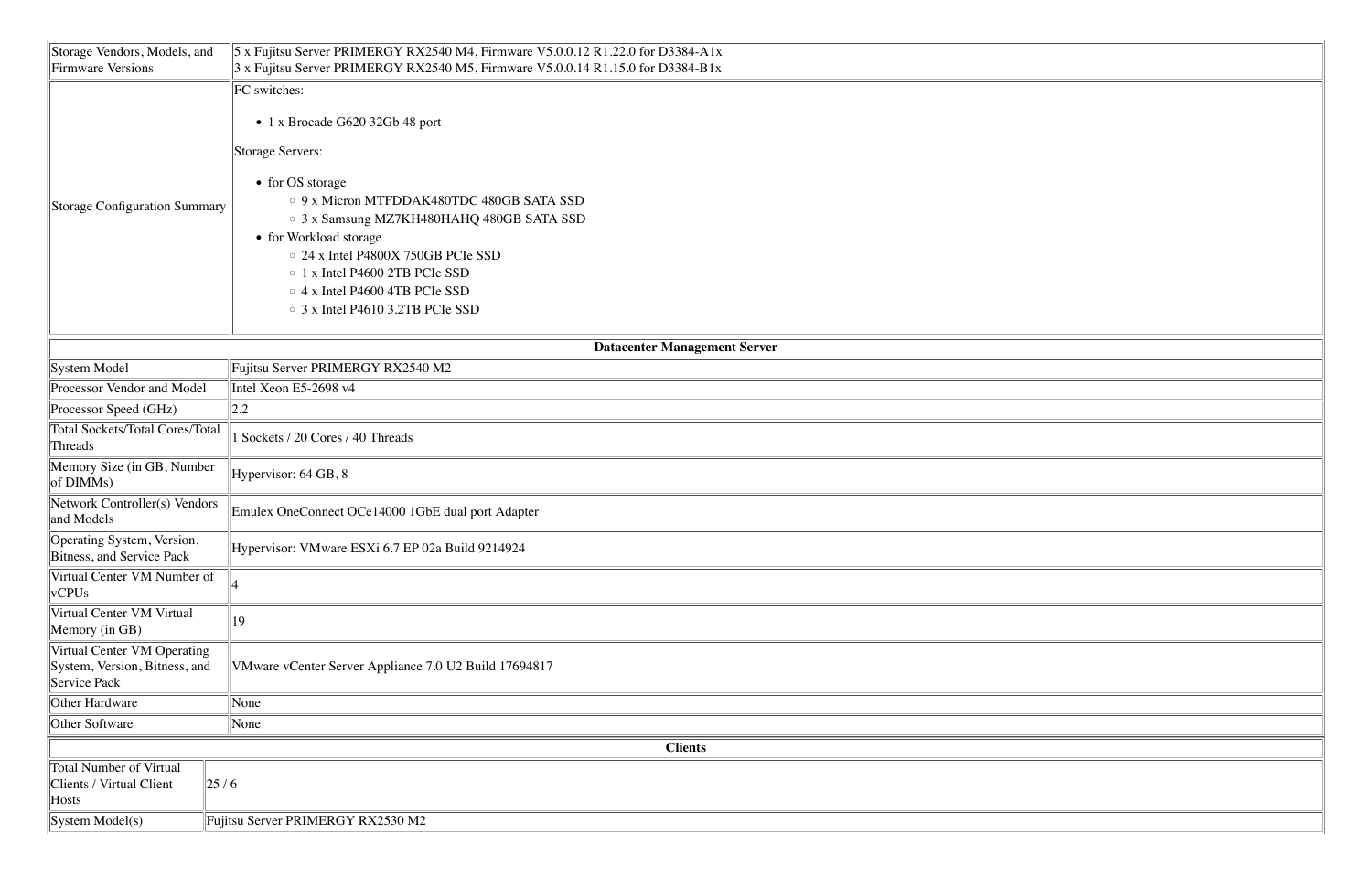| Storage Vendors, Models, and<br>Firmware Versions       | $\vert$ 5 x Fujitsu Server PRIMERGY RX2540 M4, Firmware V5.0.0.12 R1.22.0 for D3384-A1x<br>$3 \times$ Fujitsu Server PRIMERGY RX2540 M5, Firmware V5.0.0.14 R1.15.0 for D3384-B1x |  |  |  |  |
|---------------------------------------------------------|-----------------------------------------------------------------------------------------------------------------------------------------------------------------------------------|--|--|--|--|
|                                                         |                                                                                                                                                                                   |  |  |  |  |
|                                                         | <b>FC</b> switches:                                                                                                                                                               |  |  |  |  |
|                                                         | • 1 x Brocade G620 32Gb 48 port                                                                                                                                                   |  |  |  |  |
|                                                         | Storage Servers:                                                                                                                                                                  |  |  |  |  |
|                                                         | • for OS storage                                                                                                                                                                  |  |  |  |  |
| <b>Storage Configuration Summary</b>                    | $\circ$ 9 x Micron MTFDDAK480TDC 480GB SATA SSD                                                                                                                                   |  |  |  |  |
|                                                         | ○ 3 x Samsung MZ7KH480HAHQ 480GB SATA SSD                                                                                                                                         |  |  |  |  |
|                                                         | • for Workload storage                                                                                                                                                            |  |  |  |  |
|                                                         | $\circ$ 24 x Intel P4800X 750GB PCIe SSD                                                                                                                                          |  |  |  |  |
|                                                         | $\circ$ 1 x Intel P4600 2TB PCIe SSD                                                                                                                                              |  |  |  |  |
|                                                         | $\circ$ 4 x Intel P4600 4TB PCIe SSD                                                                                                                                              |  |  |  |  |
|                                                         | $\circ$ 3 x Intel P4610 3.2TB PCIe SSD                                                                                                                                            |  |  |  |  |
|                                                         |                                                                                                                                                                                   |  |  |  |  |
|                                                         | <b>Datacenter Management Server</b>                                                                                                                                               |  |  |  |  |
| System Model                                            | Fujitsu Server PRIMERGY RX2540 M2                                                                                                                                                 |  |  |  |  |
| Processor Vendor and Model                              | Intel Xeon E5-2698 v4                                                                                                                                                             |  |  |  |  |
| Processor Speed (GHz)                                   | 2.2                                                                                                                                                                               |  |  |  |  |
| <b>Total Sockets/Total Cores/Total</b>                  | Sockets / 20 Cores / 40 Threads                                                                                                                                                   |  |  |  |  |
| Threads                                                 |                                                                                                                                                                                   |  |  |  |  |
| Memory Size (in GB, Number<br>of DIMMs)                 | Hypervisor: 64 GB, 8                                                                                                                                                              |  |  |  |  |
| Network Controller(s) Vendors<br>and Models             | Emulex OneConnect OCe14000 1GbE dual port Adapter                                                                                                                                 |  |  |  |  |
|                                                         |                                                                                                                                                                                   |  |  |  |  |
| Operating System, Version,<br>Bitness, and Service Pack | Hypervisor: VMware ESXi 6.7 EP 02a Build 9214924                                                                                                                                  |  |  |  |  |
| Virtual Center VM Number of                             |                                                                                                                                                                                   |  |  |  |  |
| vCPUs                                                   |                                                                                                                                                                                   |  |  |  |  |
| Virtual Center VM Virtual<br>Memory (in GB)             | $ 19\rangle$                                                                                                                                                                      |  |  |  |  |
| Virtual Center VM Operating                             |                                                                                                                                                                                   |  |  |  |  |
| System, Version, Bitness, and                           | VMware vCenter Server Appliance 7.0 U2 Build 17694817                                                                                                                             |  |  |  |  |
| Service Pack                                            |                                                                                                                                                                                   |  |  |  |  |
| <b>Other Hardware</b>                                   | None                                                                                                                                                                              |  |  |  |  |
| <b>Other Software</b>                                   | None                                                                                                                                                                              |  |  |  |  |
|                                                         | <b>Clients</b>                                                                                                                                                                    |  |  |  |  |
| <b>Total Number of Virtual</b>                          |                                                                                                                                                                                   |  |  |  |  |
| 25/6<br>Clients / Virtual Client                        |                                                                                                                                                                                   |  |  |  |  |
| Hosts                                                   |                                                                                                                                                                                   |  |  |  |  |
| System Model(s)                                         | Fujitsu Server PRIMERGY RX2530 M2                                                                                                                                                 |  |  |  |  |

| <u> 1989 - Johann Stoff, deutscher Stoff, der Stoff, der Stoff, der Stoff, der Stoff, der Stoff, der Stoff, der S</u> |  |
|-----------------------------------------------------------------------------------------------------------------------|--|
|                                                                                                                       |  |
|                                                                                                                       |  |
|                                                                                                                       |  |
|                                                                                                                       |  |
|                                                                                                                       |  |
|                                                                                                                       |  |
|                                                                                                                       |  |
|                                                                                                                       |  |
|                                                                                                                       |  |
|                                                                                                                       |  |
|                                                                                                                       |  |
|                                                                                                                       |  |
|                                                                                                                       |  |
|                                                                                                                       |  |
|                                                                                                                       |  |
|                                                                                                                       |  |
|                                                                                                                       |  |
|                                                                                                                       |  |
|                                                                                                                       |  |
|                                                                                                                       |  |
|                                                                                                                       |  |
|                                                                                                                       |  |
|                                                                                                                       |  |
|                                                                                                                       |  |
|                                                                                                                       |  |
|                                                                                                                       |  |
|                                                                                                                       |  |
|                                                                                                                       |  |
|                                                                                                                       |  |
|                                                                                                                       |  |
|                                                                                                                       |  |
|                                                                                                                       |  |
|                                                                                                                       |  |
|                                                                                                                       |  |
|                                                                                                                       |  |
|                                                                                                                       |  |
|                                                                                                                       |  |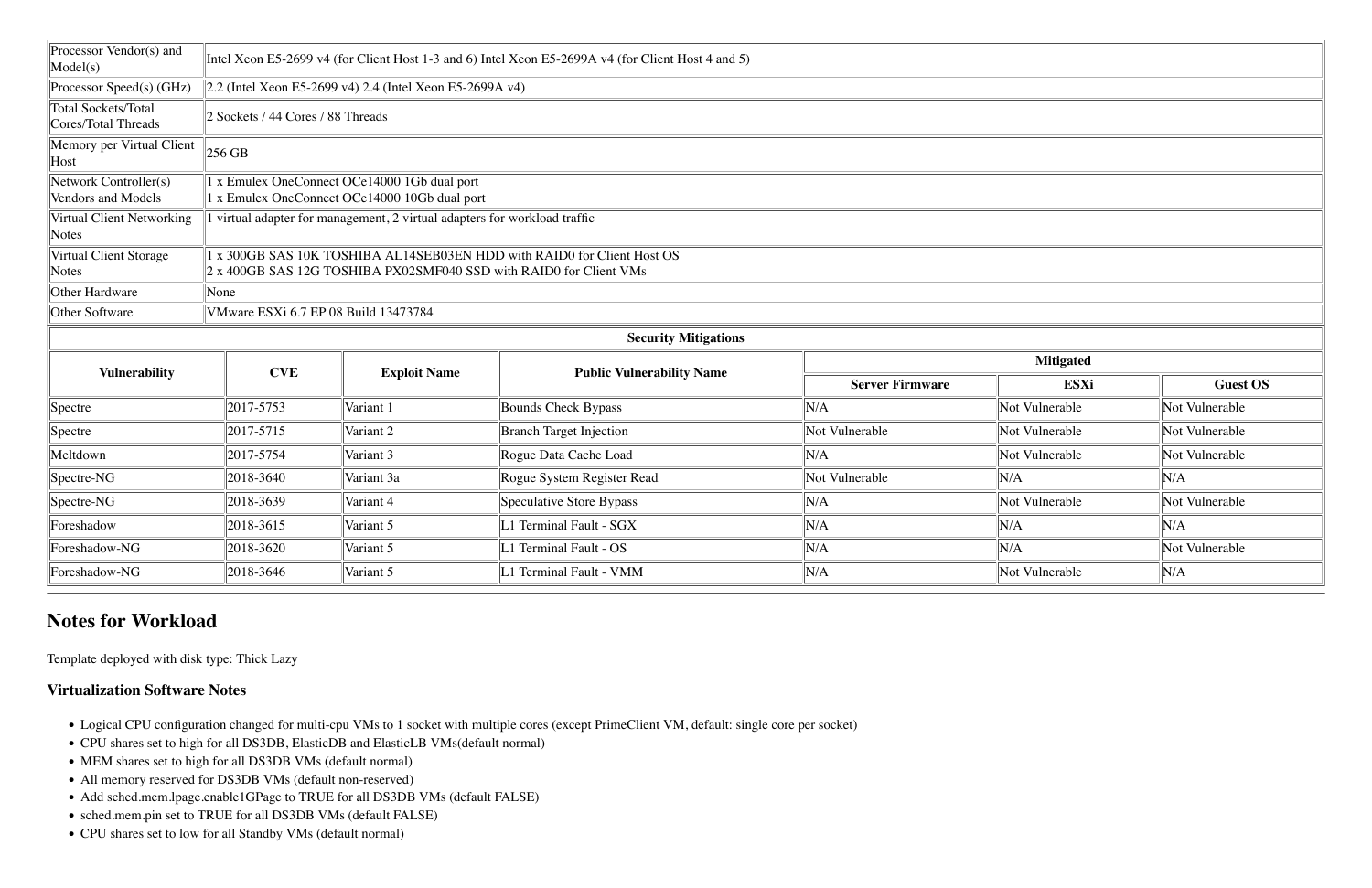| Processor Vendor(s) and<br>Model(s)                      |                                      |                                                                           | Intel Xeon E5-2699 v4 (for Client Host 1-3 and 6) Intel Xeon E5-2699A v4 (for Client Host 4 and 5) |                        |                  |                |
|----------------------------------------------------------|--------------------------------------|---------------------------------------------------------------------------|----------------------------------------------------------------------------------------------------|------------------------|------------------|----------------|
| Processor Speed(s) (GHz)                                 |                                      | $\ 2.2$ (Intel Xeon E5-2699 v4) 2.4 (Intel Xeon E5-2699A v4)              |                                                                                                    |                        |                  |                |
| <b>Total Sockets/Total</b><br><b>Cores/Total Threads</b> | 2 Sockets / 44 Cores / 88 Threads    |                                                                           |                                                                                                    |                        |                  |                |
| Memory per Virtual Client<br>Host                        | $256$ GB                             |                                                                           |                                                                                                    |                        |                  |                |
| Network Controller(s)                                    |                                      | 1 x Emulex OneConnect OCe14000 1Gb dual port                              |                                                                                                    |                        |                  |                |
| Vendors and Models                                       |                                      | 1 x Emulex OneConnect OCe14000 10Gb dual port                             |                                                                                                    |                        |                  |                |
| <b>Virtual Client Networking</b><br>Notes                |                                      | I virtual adapter for management, 2 virtual adapters for workload traffic |                                                                                                    |                        |                  |                |
| Virtual Client Storage                                   |                                      |                                                                           | 1 x 300GB SAS 10K TOSHIBA AL14SEB03EN HDD with RAID0 for Client Host OS                            |                        |                  |                |
| Notes                                                    |                                      | 2 x 400GB SAS 12G TOSHIBA PX02SMF040 SSD with RAID0 for Client VMs        |                                                                                                    |                        |                  |                |
| Other Hardware                                           | None                                 |                                                                           |                                                                                                    |                        |                  |                |
| Other Software                                           | VMware ESXi 6.7 EP 08 Build 13473784 |                                                                           |                                                                                                    |                        |                  |                |
|                                                          |                                      |                                                                           | <b>Security Mitigations</b>                                                                        |                        |                  |                |
|                                                          | <b>CVE</b>                           |                                                                           |                                                                                                    |                        | <b>Mitigated</b> |                |
| <b>Vulnerability</b>                                     |                                      | <b>Exploit Name</b>                                                       | <b>Public Vulnerability Name</b>                                                                   | <b>Server Firmware</b> | <b>ESXi</b>      | Gues           |
| Spectre                                                  | 2017-5753                            | Variant 1                                                                 | <b>Bounds Check Bypass</b>                                                                         | N/A                    | Not Vulnerable   | Not Vulnerable |
| Spectre                                                  | 2017-5715                            | Variant 2                                                                 | <b>Branch Target Injection</b>                                                                     | Not Vulnerable         | Not Vulnerable   | Not Vulnerable |
| Meltdown                                                 | 2017-5754                            | Variant 3                                                                 | Rogue Data Cache Load                                                                              | N/A                    | Not Vulnerable   | Not Vulnerable |
| Spectre-NG                                               | 2018-3640                            | Variant 3a                                                                | Rogue System Register Read                                                                         | Not Vulnerable         | N/A              | N/A            |
| Spectre-NG                                               | 2018-3639                            | Variant 4                                                                 | Speculative Store Bypass                                                                           | N/A                    | Not Vulnerable   | Not Vulnerable |
| Foreshadow                                               | 2018-3615                            | Variant 5                                                                 | L1 Terminal Fault - SGX                                                                            | N/A                    | N/A              | N/A            |
| Foreshadow-NG                                            | 2018-3620                            | Variant 5                                                                 | L1 Terminal Fault - OS                                                                             | N/A                    | N/A              | Not Vulnerable |
| Foreshadow-NG                                            | 2018-3646                            | Variant 5                                                                 | L1 Terminal Fault - VMM                                                                            | N/A                    | Not Vulnerable   | N/A            |

## **Notes for Workload**

Template deployed with disk type: Thick Lazy

#### **Virtualization Software Notes**

- Logical CPU configuration changed for multi-cpu VMs to 1 socket with multiple cores (except PrimeClient VM, default: single core per socket)
- CPU shares set to high for all DS3DB, ElasticDB and ElasticLB VMs(default normal)
- MEM shares set to high for all DS3DB VMs (default normal)
- All memory reserved for DS3DB VMs (default non-reserved)
- Add sched.mem.lpage.enable1GPage to TRUE for all DS3DB VMs (default FALSE)
- sched.mem.pin set to TRUE for all DS3DB VMs (default FALSE)
- CPU shares set to low for all Standby VMs (default normal)

|                        | <b>Mitigated</b> |                 |
|------------------------|------------------|-----------------|
| <b>Server Firmware</b> | <b>ESXi</b>      | <b>Guest OS</b> |
|                        | Not Vulnerable   | Not Vulnerable  |
| nerable                | Not Vulnerable   | Not Vulnerable  |
|                        | Not Vulnerable   | Not Vulnerable  |
| nerable                | N/A              | N/A             |
|                        | Not Vulnerable   | Not Vulnerable  |
|                        | N/A              | N/A             |
|                        | N/A              | Not Vulnerable  |
|                        | Not Vulnerable   | N/A             |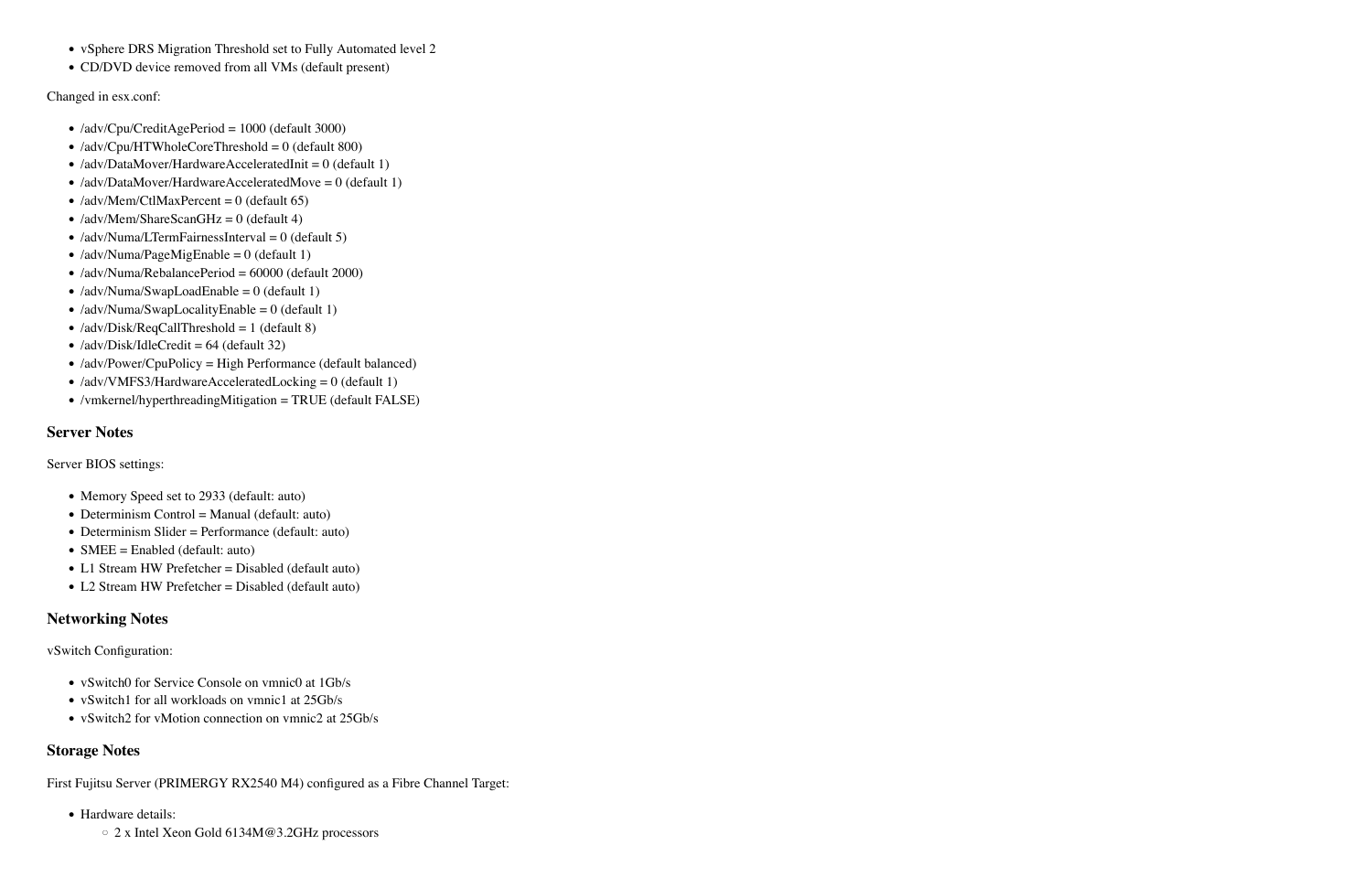- vSphere DRS Migration Threshold set to Fully Automated level 2
- CD/DVD device removed from all VMs (default present)

Changed in esx.conf:

- Memory Speed set to 2933 (default: auto)
- Determinism Control = Manual (default: auto)
- Determinism Slider = Performance (default: auto)
- SMEE = Enabled (default: auto)
- L1 Stream HW Prefetcher = Disabled (default auto)
- L2 Stream HW Prefetcher = Disabled (default auto)
- /adv/Cpu/CreditAgePeriod = 1000 (default 3000)
- /adv/Cpu/HTWholeCoreThreshold =  $0$  (default 800)
- /adv/DataMover/HardwareAcceleratedInit =  $0$  (default 1)
- /adv/DataMover/HardwareAcceleratedMove =  $0$  (default 1)
- /adv/Mem/CtlMaxPercent =  $0$  (default 65)
- /adv/Mem/ShareScanGHz = 0 (default 4)
- /adv/Numa/LTermFairnessInterval =  $0$  (default 5)
- /adv/Numa/PageMigEnable =  $0$  (default 1)
- /adv/Numa/RebalancePeriod = 60000 (default 2000)
- /adv/Numa/SwapLoadEnable =  $0$  (default 1)
- /adv/Numa/SwapLocalityEnable =  $0$  (default 1)
- /adv/Disk/ReqCallThreshold = 1 (default 8)
- /adv/Disk/IdleCredit =  $64$  (default 32)
- /adv/Power/CpuPolicy = High Performance (default balanced)
- /adv/VMFS3/HardwareAcceleratedLocking = 0 (default 1)
- /vmkernel/hyperthreadingMitigation = TRUE (default FALSE)

- vSwitch0 for Service Console on vmnic0 at 1Gb/s
- vSwitch1 for all workloads on vmnic1 at 25Gb/s
- vSwitch2 for vMotion connection on vmnic2 at 25Gb/s

#### **Server Notes**

Server BIOS settings:

### **Networking Notes**

vSwitch Configuration:

### **Storage Notes**

First Fujitsu Server (PRIMERGY RX2540 M4) configured as a Fibre Channel Target:

- Hardware details:
	- 2 x Intel Xeon Gold 6134M@3.2GHz processors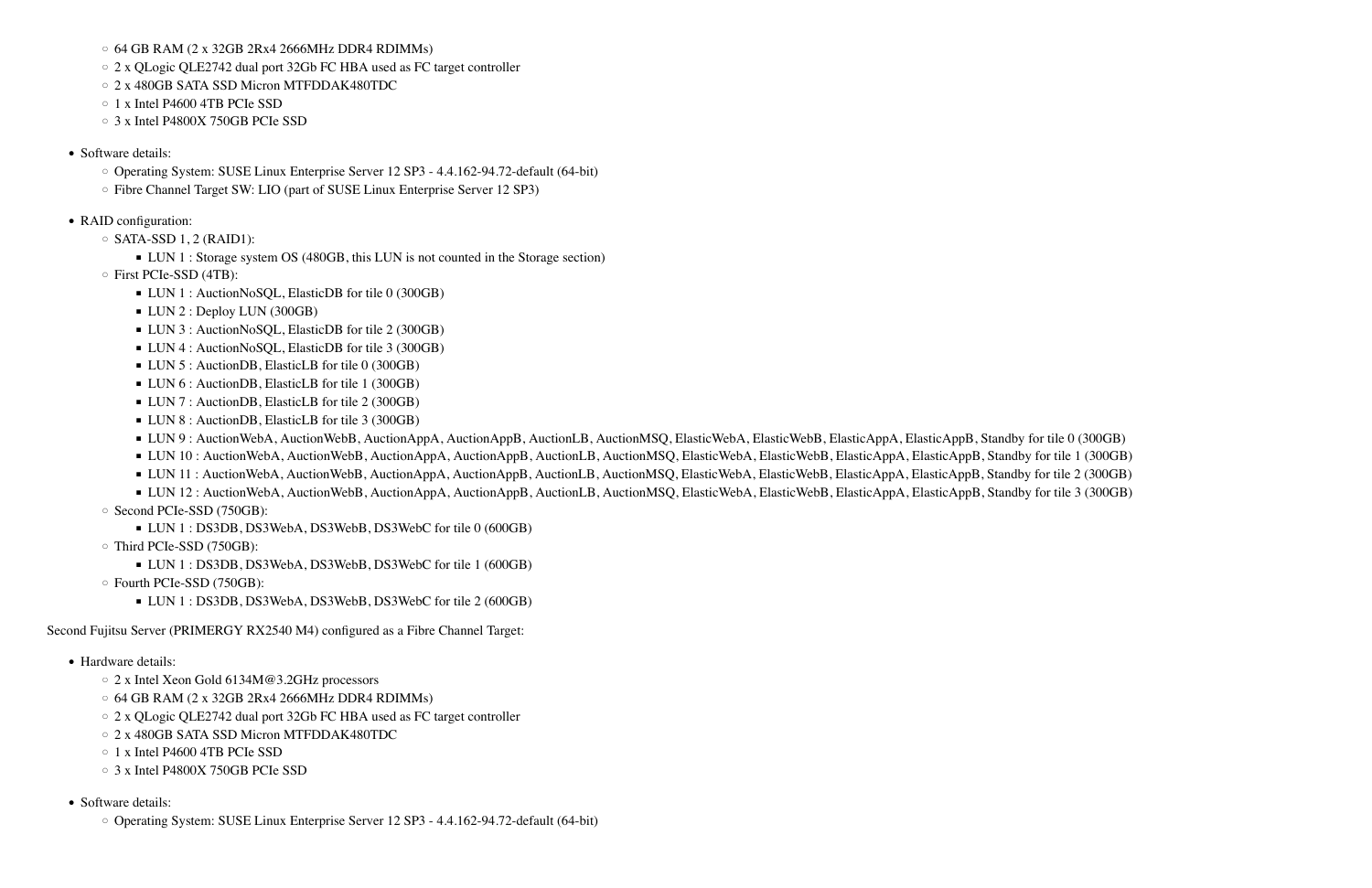- Hardware details:
	- 2 x Intel Xeon Gold 6134M@3.2GHz processors
	- 64 GB RAM (2 x 32GB 2Rx4 2666MHz DDR4 RDIMMs)
	- 2 x QLogic QLE2742 dual port 32Gb FC HBA used as FC target controller
	- 2 x 480GB SATA SSD Micron MTFDDAK480TDC
	- 1 x Intel P4600 4TB PCIe SSD
	- 3 x Intel P4800X 750GB PCIe SSD
- Software details:
	- Operating System: SUSE Linux Enterprise Server 12 SP3 4.4.162-94.72-default (64-bit)

- 64 GB RAM (2 x 32GB 2Rx4 2666MHz DDR4 RDIMMs)
- 2 x QLogic QLE2742 dual port 32Gb FC HBA used as FC target controller
- 2 x 480GB SATA SSD Micron MTFDDAK480TDC
- 1 x Intel P4600 4TB PCIe SSD
- 3 x Intel P4800X 750GB PCIe SSD
- Software details:
	- Operating System: SUSE Linux Enterprise Server 12 SP3 4.4.162-94.72-default (64-bit)
	- Fibre Channel Target SW: LIO (part of SUSE Linux Enterprise Server 12 SP3)
- RAID configuration:
	- $\circ$  SATA-SSD 1, 2 (RAID1):
		- LUN 1 : Storage system OS (480GB, this LUN is not counted in the Storage section)
	- First PCIe-SSD (4TB):
		- LUN 1 : AuctionNoSQL, ElasticDB for tile 0 (300GB)
		- LUN 2 : Deploy LUN (300GB)
		- LUN 3 : AuctionNoSQL, ElasticDB for tile 2 (300GB)
		- LUN 4 : AuctionNoSQL, ElasticDB for tile 3 (300GB)
		- LUN 5 : AuctionDB, ElasticLB for tile 0 (300GB)
		- LUN 6 : AuctionDB, ElasticLB for tile 1 (300GB)
		- LUN 7 : AuctionDB, ElasticLB for tile 2 (300GB)
		- LUN 8 : AuctionDB, ElasticLB for tile 3 (300GB)
		- LUN 9: AuctionWebA, AuctionWebB, AuctionAppA, AuctionAppB, AuctionLB, AuctionMSQ, ElasticWebA, ElasticWebB, ElasticAppA, ElasticAppB, Standby for tile 0 (300GB)
		- LUN 10 : AuctionWebA, AuctionWebB, AuctionAppA, AuctionAppB, AuctionLB, AuctionMSQ, ElasticWebA, ElasticWebB, ElasticAppA, ElasticAppB, Standby for tile 1 (300GB)
		- LUN 11 : AuctionWebA, AuctionWebB, AuctionAppA, AuctionAppB, AuctionLB, AuctionMSQ, ElasticWebA, ElasticWebB, ElasticAppA, ElasticAppB, Standby for tile 2 (300GB)
		- LUN 12 : AuctionWebA, AuctionWebB, AuctionAppA, AuctionAppB, AuctionLB, AuctionMSQ, ElasticWebA, ElasticWebB, ElasticAppA, ElasticAppB, Standby for tile 3 (300GB)
	- Second PCIe-SSD (750GB):
		- LUN 1 : DS3DB, DS3WebA, DS3WebB, DS3WebC for tile 0 (600GB)
	- Third PCIe-SSD (750GB):
		- LUN 1 : DS3DB, DS3WebA, DS3WebB, DS3WebC for tile 1 (600GB)
	- Fourth PCIe-SSD (750GB):
		- LUN 1 : DS3DB, DS3WebA, DS3WebB, DS3WebC for tile 2 (600GB)

Second Fujitsu Server (PRIMERGY RX2540 M4) configured as a Fibre Channel Target: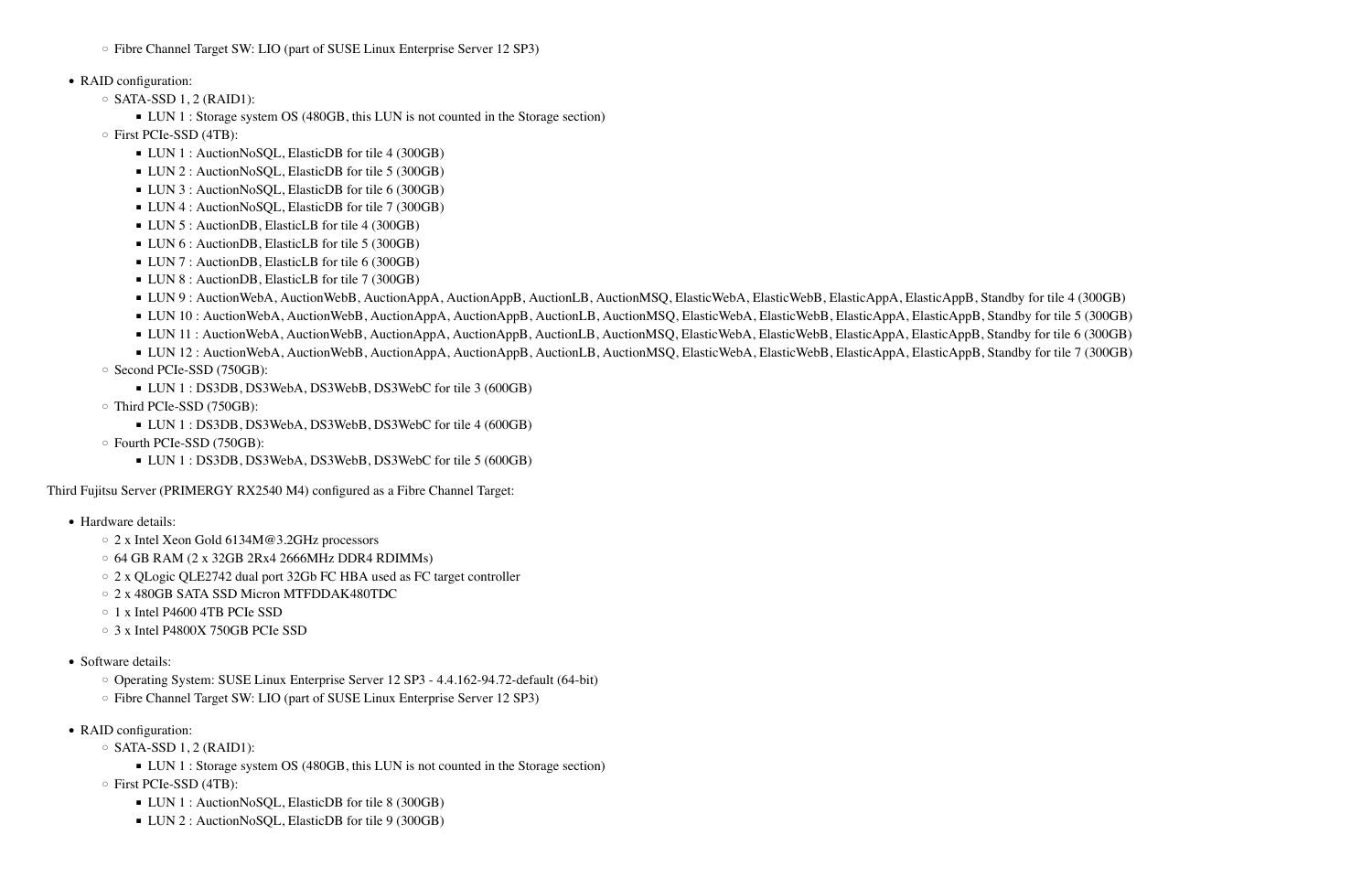◦ Fibre Channel Target SW: LIO (part of SUSE Linux Enterprise Server 12 SP3)

#### • RAID configuration:

- $\circ$  SATA-SSD 1, 2 (RAID1):
	- LUN 1 : Storage system OS (480GB, this LUN is not counted in the Storage section)
- First PCIe-SSD (4TB):
	- LUN 1 : AuctionNoSQL, ElasticDB for tile 4 (300GB)
	- LUN 2 : AuctionNoSQL, ElasticDB for tile 5 (300GB)
	- LUN 3 : AuctionNoSQL, ElasticDB for tile 6 (300GB)
	- LUN 4 : AuctionNoSQL, ElasticDB for tile 7 (300GB)
	- LUN 5 : AuctionDB, ElasticLB for tile 4 (300GB)
	- LUN 6 : AuctionDB, ElasticLB for tile 5 (300GB)
	- LUN 7 : AuctionDB, ElasticLB for tile 6 (300GB)
	- LUN 8 : AuctionDB, ElasticLB for tile 7 (300GB)
	- LUN 9: AuctionWebA, AuctionWebB, AuctionAppA, AuctionAppB, AuctionLB, AuctionMSQ, ElasticWebA, ElasticWebB, ElasticAppA, ElasticAppB, Standby for tile 4 (300GB)
	- LUN 10 : AuctionWebA, AuctionWebB, AuctionAppA, AuctionAppB, AuctionLB, AuctionMSQ, ElasticWebA, ElasticWebB, ElasticAppA, ElasticAppB, Standby for tile 5 (300GB)
	- LUN 11 : AuctionWebA, AuctionWebB, AuctionAppA, AuctionAppB, AuctionLB, AuctionMSQ, ElasticWebA, ElasticWebB, ElasticAppA, ElasticAppB, Standby for tile 6 (300GB)
	- LUN 12 : AuctionWebA, AuctionWebB, AuctionAppA, AuctionAppB, AuctionLB, AuctionMSO, ElasticWebA, ElasticWebB, ElasticAppA, ElasticAppB, Standby for tile 7 (300GB)
- Second PCIe-SSD (750GB):
	- LUN 1 : DS3DB, DS3WebA, DS3WebB, DS3WebC for tile 3 (600GB)
- Third PCIe-SSD (750GB):
	- LUN 1 : DS3DB, DS3WebA, DS3WebB, DS3WebC for tile 4 (600GB)
- Fourth PCIe-SSD (750GB):
	- LUN 1 : DS3DB, DS3WebA, DS3WebB, DS3WebC for tile 5 (600GB)

- Hardware details:
	- 2 x Intel Xeon Gold 6134M@3.2GHz processors
	- 64 GB RAM (2 x 32GB 2Rx4 2666MHz DDR4 RDIMMs)
	- 2 x QLogic QLE2742 dual port 32Gb FC HBA used as FC target controller
	- 2 x 480GB SATA SSD Micron MTFDDAK480TDC
	- 1 x Intel P4600 4TB PCIe SSD
	- 3 x Intel P4800X 750GB PCIe SSD
- Software details:
	- Operating System: SUSE Linux Enterprise Server 12 SP3 4.4.162-94.72-default (64-bit)
	- Fibre Channel Target SW: LIO (part of SUSE Linux Enterprise Server 12 SP3)
- RAID configuration:
	- $\circ$  SATA-SSD 1, 2 (RAID1):
		- LUN 1 : Storage system OS (480GB, this LUN is not counted in the Storage section)
	- First PCIe-SSD (4TB):
		- LUN 1 : AuctionNoSQL, ElasticDB for tile 8 (300GB)
		- LUN 2 : AuctionNoSOL, ElasticDB for tile 9 (300GB)

Third Fujitsu Server (PRIMERGY RX2540 M4) configured as a Fibre Channel Target: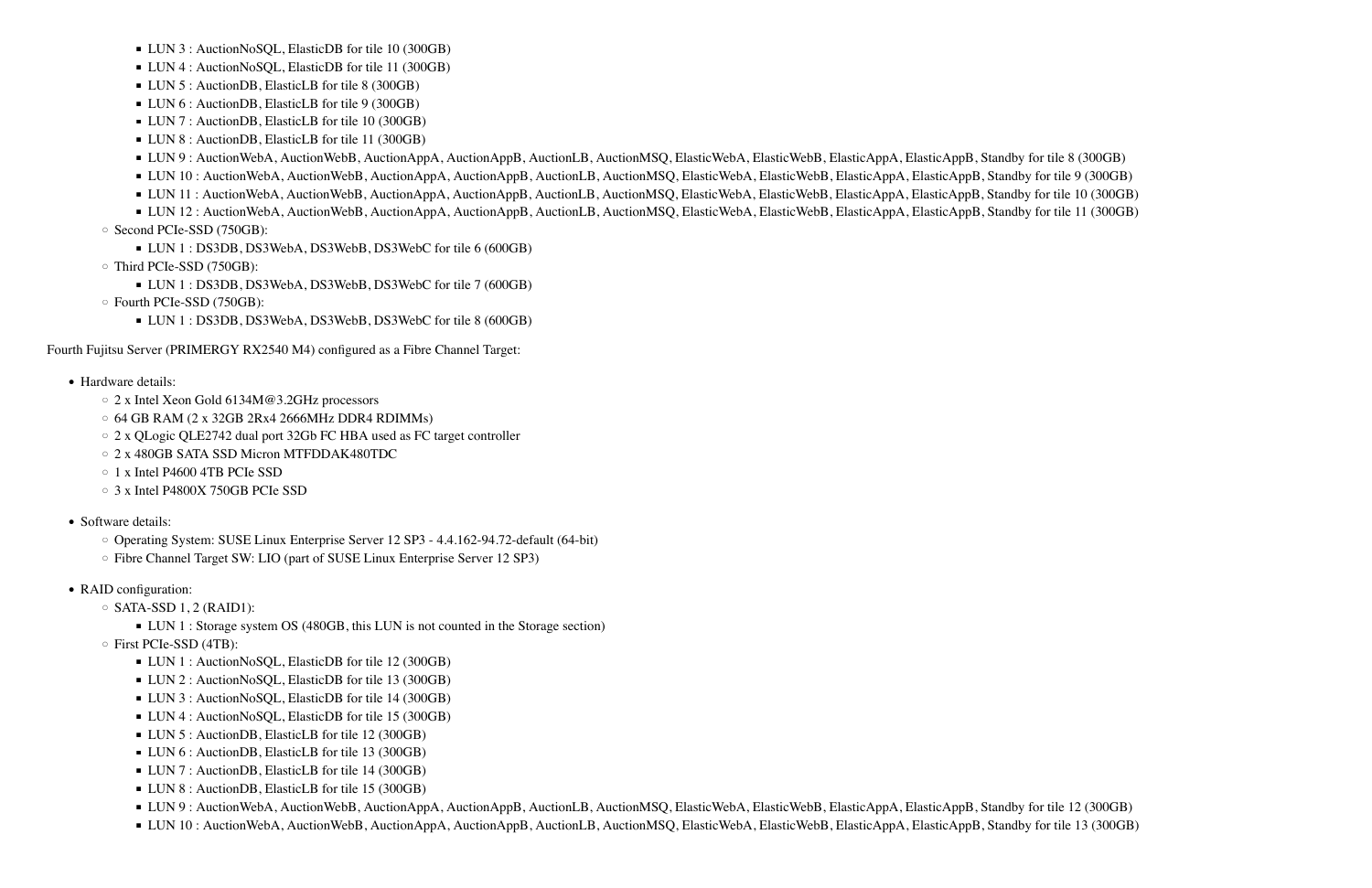- LUN 3 : AuctionNoSQL, ElasticDB for tile 10 (300GB)
- LUN 4 : AuctionNoSQL, ElasticDB for tile 11 (300GB)
- LUN 5 : AuctionDB, ElasticLB for tile 8 (300GB)
- LUN 6 : AuctionDB, ElasticLB for tile 9 (300GB)
- LUN 7 : AuctionDB, ElasticLB for tile 10 (300GB)
- LUN 8 : AuctionDB, ElasticLB for tile 11 (300GB)
- LUN 9 : AuctionWebA, AuctionWebB, AuctionAppA, AuctionAppB, AuctionLB, AuctionMSQ, ElasticWebA, ElasticWebB, ElasticAppA, ElasticAppB, Standby for tile 8 (300GB)
- LUN 10 : AuctionWebA, AuctionWebB, AuctionAppA, AuctionAppB, AuctionLB, AuctionMSQ, ElasticWebA, ElasticWebB, ElasticAppA, ElasticAppB, Standby for tile 9 (300GB)
- LUN 11 : AuctionWebA, AuctionWebB, AuctionAppA, AuctionAppB, AuctionLB, AuctionMSQ, ElasticWebA, ElasticWebB, ElasticAppA, ElasticAppB, Standby for tile 10 (300GB)
- LUN 12 : AuctionWebA, AuctionWebB, AuctionAppA, AuctionAppB, AuctionLB, AuctionMSQ, ElasticWebA, ElasticWebB, ElasticAppA, ElasticAppB, Standby for tile 11 (300GB)
- Second PCIe-SSD (750GB):
	- LUN 1 : DS3DB, DS3WebA, DS3WebB, DS3WebC for tile 6 (600GB)
- Third PCIe-SSD (750GB):
	- LUN 1 : DS3DB, DS3WebA, DS3WebB, DS3WebC for tile 7 (600GB)
- Fourth PCIe-SSD (750GB):
	- LUN 1 : DS3DB, DS3WebA, DS3WebB, DS3WebC for tile 8 (600GB)

- Hardware details:
	- 2 x Intel Xeon Gold 6134M@3.2GHz processors
	- $\circ$  64 GB RAM (2 x 32GB 2Rx4 2666MHz DDR4 RDIMMs)
	- 2 x QLogic QLE2742 dual port 32Gb FC HBA used as FC target controller
	- 2 x 480GB SATA SSD Micron MTFDDAK480TDC
	- 1 x Intel P4600 4TB PCIe SSD
	- 3 x Intel P4800X 750GB PCIe SSD
- Software details:
	- Operating System: SUSE Linux Enterprise Server 12 SP3 4.4.162-94.72-default (64-bit)
	- Fibre Channel Target SW: LIO (part of SUSE Linux Enterprise Server 12 SP3)
- RAID configuration:
	- $\circ$  SATA-SSD 1, 2 (RAID1):
		- LUN 1 : Storage system OS (480GB, this LUN is not counted in the Storage section)
	- First PCIe-SSD (4TB):
		- LUN 1 : AuctionNoSQL, ElasticDB for tile 12 (300GB)
		- LUN 2 : AuctionNoSQL, ElasticDB for tile 13 (300GB)
		- LUN 3 : AuctionNoSQL, ElasticDB for tile 14 (300GB)
		- LUN 4 : AuctionNoSQL, ElasticDB for tile 15 (300GB)
		- LUN 5 : AuctionDB, ElasticLB for tile 12 (300GB)
		- LUN 6 : AuctionDB, ElasticLB for tile 13 (300GB)
		- LUN 7 : AuctionDB, ElasticLB for tile 14 (300GB)
		- LUN 8 : AuctionDB, ElasticLB for tile 15 (300GB)
		- LUN 9: AuctionWebA, AuctionWebB, AuctionAppA, AuctionAppB, AuctionLB, AuctionMSQ, ElasticWebA, ElasticWebB, ElasticAppA, ElasticAppB, Standby for tile 12 (300GB)
		- LUN 10: AuctionWebA, AuctionWebB, AuctionAppA, AuctionAppB, AuctionLB, AuctionMSQ, ElasticWebA, ElasticWebB, ElasticAppA, ElasticAppB, Standby for tile 13 (300GB)

Fourth Fujitsu Server (PRIMERGY RX2540 M4) configured as a Fibre Channel Target: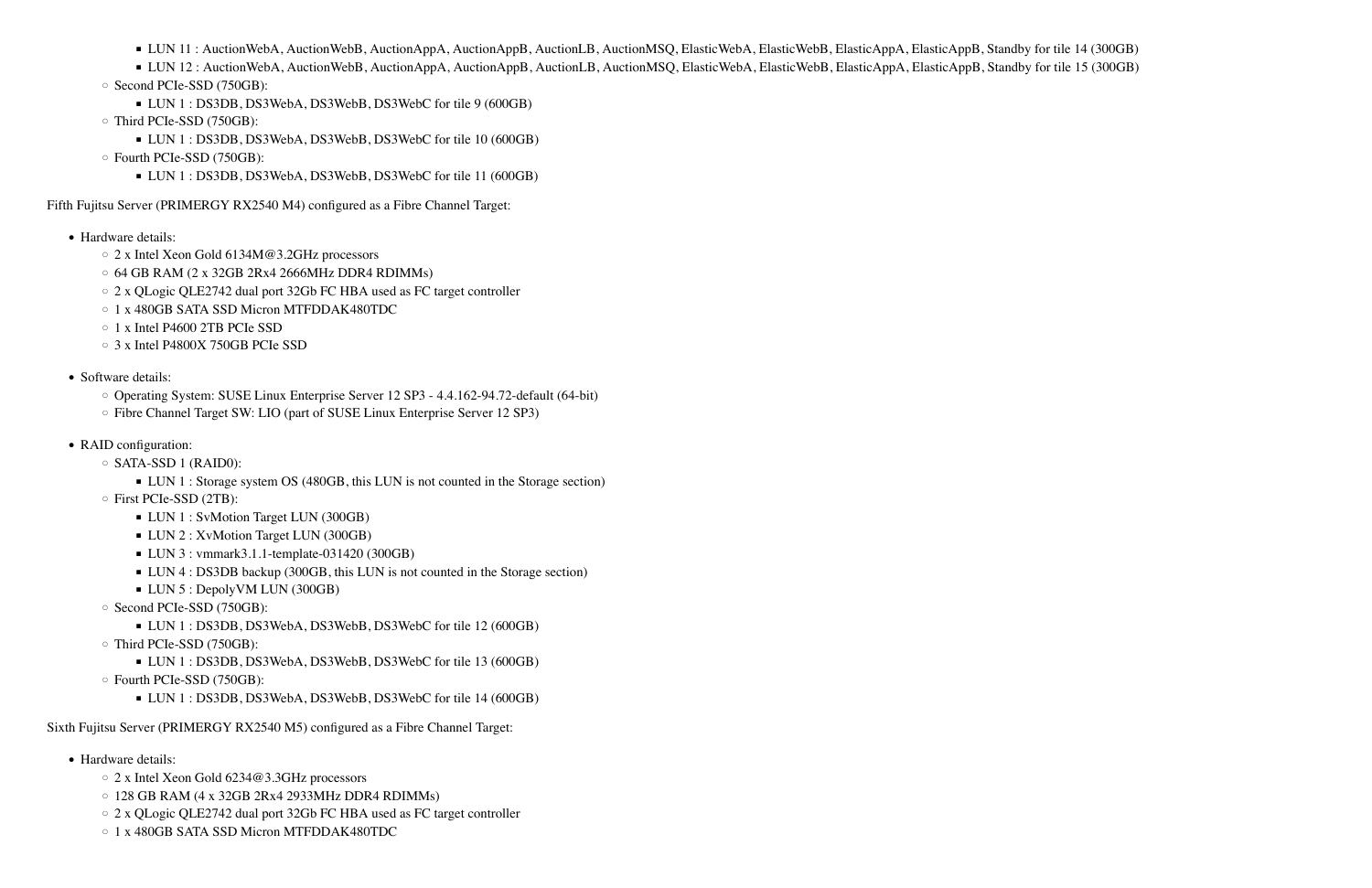- LUN 11: AuctionWebA, AuctionWebB, AuctionAppA, AuctionAppB, AuctionLB, AuctionMSQ, ElasticWebA, ElasticWebB, ElasticAppA, ElasticAppB, Standby for tile 14 (300GB)
- LUN 12 : AuctionWebA, AuctionWebB, AuctionAppA, AuctionAppB, AuctionLB, AuctionMSQ, ElasticWebA, ElasticWebB, ElasticAppA, ElasticAppB, Standby for tile 15 (300GB)
- Second PCIe-SSD (750GB):
	- LUN 1 : DS3DB, DS3WebA, DS3WebB, DS3WebC for tile 9 (600GB)
- Third PCIe-SSD (750GB):
	- LUN 1 : DS3DB, DS3WebA, DS3WebB, DS3WebC for tile 10 (600GB)
- Fourth PCIe-SSD (750GB):
	- LUN 1 : DS3DB, DS3WebA, DS3WebB, DS3WebC for tile 11 (600GB)

Fifth Fujitsu Server (PRIMERGY RX2540 M4) configured as a Fibre Channel Target:

- Hardware details:
	- 2 x Intel Xeon Gold 6134M@3.2GHz processors
	- 64 GB RAM (2 x 32GB 2Rx4 2666MHz DDR4 RDIMMs)
	- 2 x QLogic QLE2742 dual port 32Gb FC HBA used as FC target controller
	- 1 x 480GB SATA SSD Micron MTFDDAK480TDC
	- 1 x Intel P4600 2TB PCIe SSD
	- 3 x Intel P4800X 750GB PCIe SSD
- Software details:
	- Operating System: SUSE Linux Enterprise Server 12 SP3 4.4.162-94.72-default (64-bit)
	- Fibre Channel Target SW: LIO (part of SUSE Linux Enterprise Server 12 SP3)
- RAID configuration:
	- SATA-SSD 1 (RAID0):
		- LUN 1 : Storage system OS (480GB, this LUN is not counted in the Storage section)
	- First PCIe-SSD (2TB):
		- **LUN 1 : SvMotion Target LUN (300GB)**
		- **LUN 2 : XvMotion Target LUN (300GB)**
		- LUN 3 : vmmark3.1.1-template-031420 (300GB)
		- LUN 4 : DS3DB backup (300GB, this LUN is not counted in the Storage section)
		- LUN 5 : DepolyVM LUN (300GB)
	- Second PCIe-SSD (750GB):
		- LUN 1 : DS3DB, DS3WebA, DS3WebB, DS3WebC for tile 12 (600GB)
	- Third PCIe-SSD (750GB):
		- LUN 1 : DS3DB, DS3WebA, DS3WebB, DS3WebC for tile 13 (600GB)
	- Fourth PCIe-SSD (750GB):
		- LUN 1 : DS3DB, DS3WebA, DS3WebB, DS3WebC for tile 14 (600GB)

- Hardware details:
	- 2 x Intel Xeon Gold 6234@3.3GHz processors
	- 128 GB RAM (4 x 32GB 2Rx4 2933MHz DDR4 RDIMMs)
	- 2 x QLogic QLE2742 dual port 32Gb FC HBA used as FC target controller
	- 1 x 480GB SATA SSD Micron MTFDDAK480TDC

Sixth Fujitsu Server (PRIMERGY RX2540 M5) configured as a Fibre Channel Target: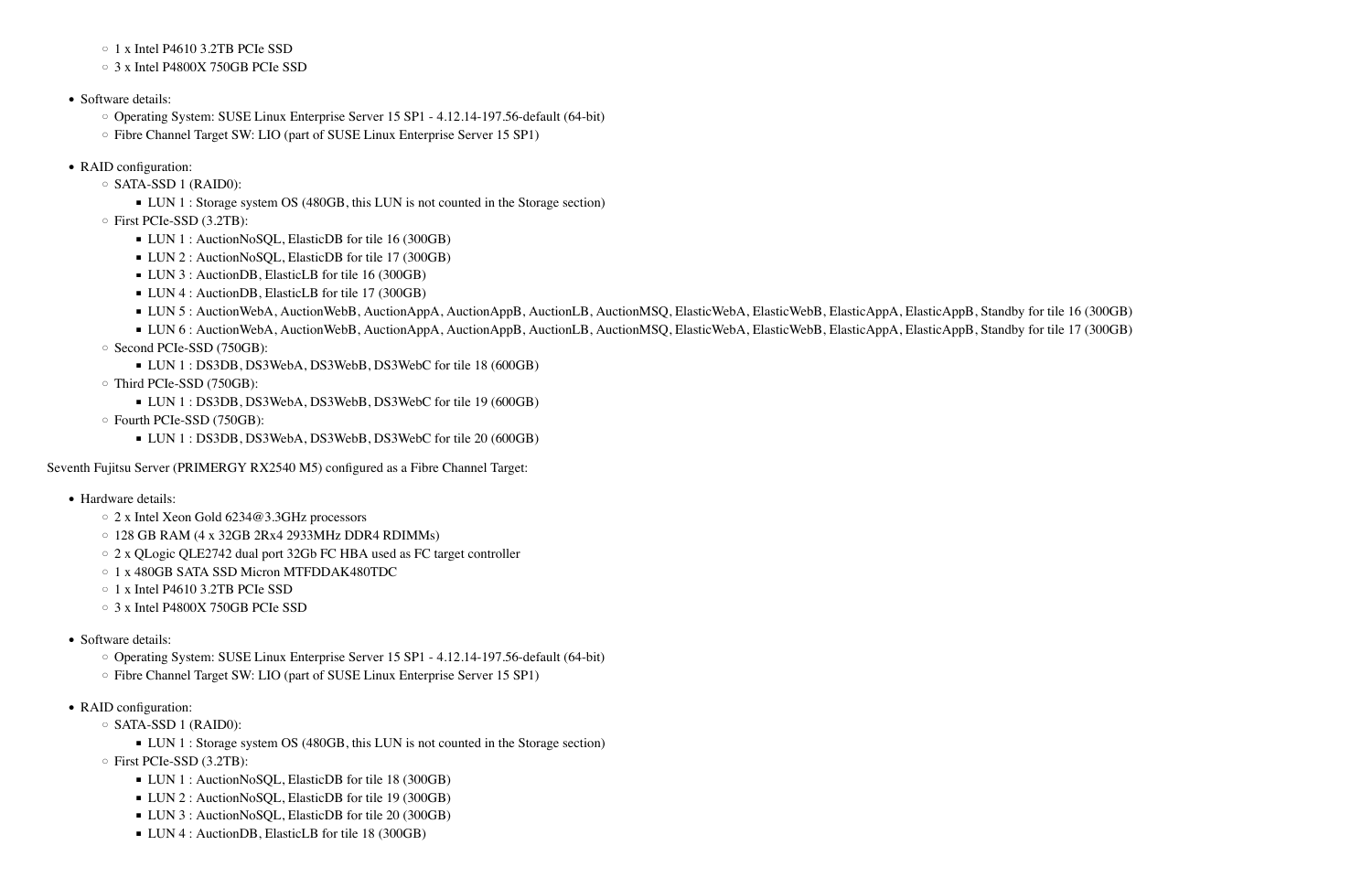#### ◦ 1 x Intel P4610 3.2TB PCIe SSD

- 3 x Intel P4800X 750GB PCIe SSD
- Software details:
	- Operating System: SUSE Linux Enterprise Server 15 SP1 4.12.14-197.56-default (64-bit)
	- Fibre Channel Target SW: LIO (part of SUSE Linux Enterprise Server 15 SP1)
- RAID configuration:
	- SATA-SSD 1 (RAID0):
		- LUN 1 : Storage system OS (480GB, this LUN is not counted in the Storage section)
	- First PCIe-SSD (3.2TB):
		- LUN 1 : AuctionNoSQL, ElasticDB for tile 16 (300GB)
		- LUN 2 : AuctionNoSQL, ElasticDB for tile 17 (300GB)
		- LUN 3 : AuctionDB, ElasticLB for tile 16 (300GB)
		- LUN 4 : AuctionDB, ElasticLB for tile 17 (300GB)
		- LUN 5 : AuctionWebA, AuctionWebB, AuctionAppA, AuctionAppB, AuctionLB, AuctionMSQ, ElasticWebA, ElasticWebB, ElasticAppA, ElasticAppB, Standby for tile 16 (300GB)
	- LUN 6 : AuctionWebA, AuctionWebB, AuctionAppA, AuctionAppB, AuctionLB, AuctionMSQ, ElasticWebA, ElasticWebB, ElasticAppA, ElasticAppB, Standby for tile 17 (300GB) ◦ Second PCIe-SSD (750GB):
		- LUN 1 : DS3DB, DS3WebA, DS3WebB, DS3WebC for tile 18 (600GB)
	- Third PCIe-SSD (750GB):
		- LUN 1 : DS3DB, DS3WebA, DS3WebB, DS3WebC for tile 19 (600GB)
	- Fourth PCIe-SSD (750GB):
		- LUN 1 : DS3DB, DS3WebA, DS3WebB, DS3WebC for tile 20 (600GB)

- Hardware details:
	- 2 x Intel Xeon Gold 6234@3.3GHz processors
	- 128 GB RAM (4 x 32GB 2Rx4 2933MHz DDR4 RDIMMs)
	- 2 x QLogic QLE2742 dual port 32Gb FC HBA used as FC target controller
	- 1 x 480GB SATA SSD Micron MTFDDAK480TDC
	- 1 x Intel P4610 3.2TB PCIe SSD
	- 3 x Intel P4800X 750GB PCIe SSD
- Software details:
	- Operating System: SUSE Linux Enterprise Server 15 SP1 4.12.14-197.56-default (64-bit)
	- Fibre Channel Target SW: LIO (part of SUSE Linux Enterprise Server 15 SP1)
- RAID configuration:
	- SATA-SSD 1 (RAID0):
		- LUN 1 : Storage system OS (480GB, this LUN is not counted in the Storage section)
	- First PCIe-SSD (3.2TB):
		- LUN 1 : AuctionNoSQL, ElasticDB for tile 18 (300GB)
		- LUN 2 : AuctionNoSQL, ElasticDB for tile 19 (300GB)
		- LUN 3 : AuctionNoSQL, ElasticDB for tile 20 (300GB)
		- LUN 4 : AuctionDB, ElasticLB for tile 18 (300GB)

Seventh Fujitsu Server (PRIMERGY RX2540 M5) configured as a Fibre Channel Target: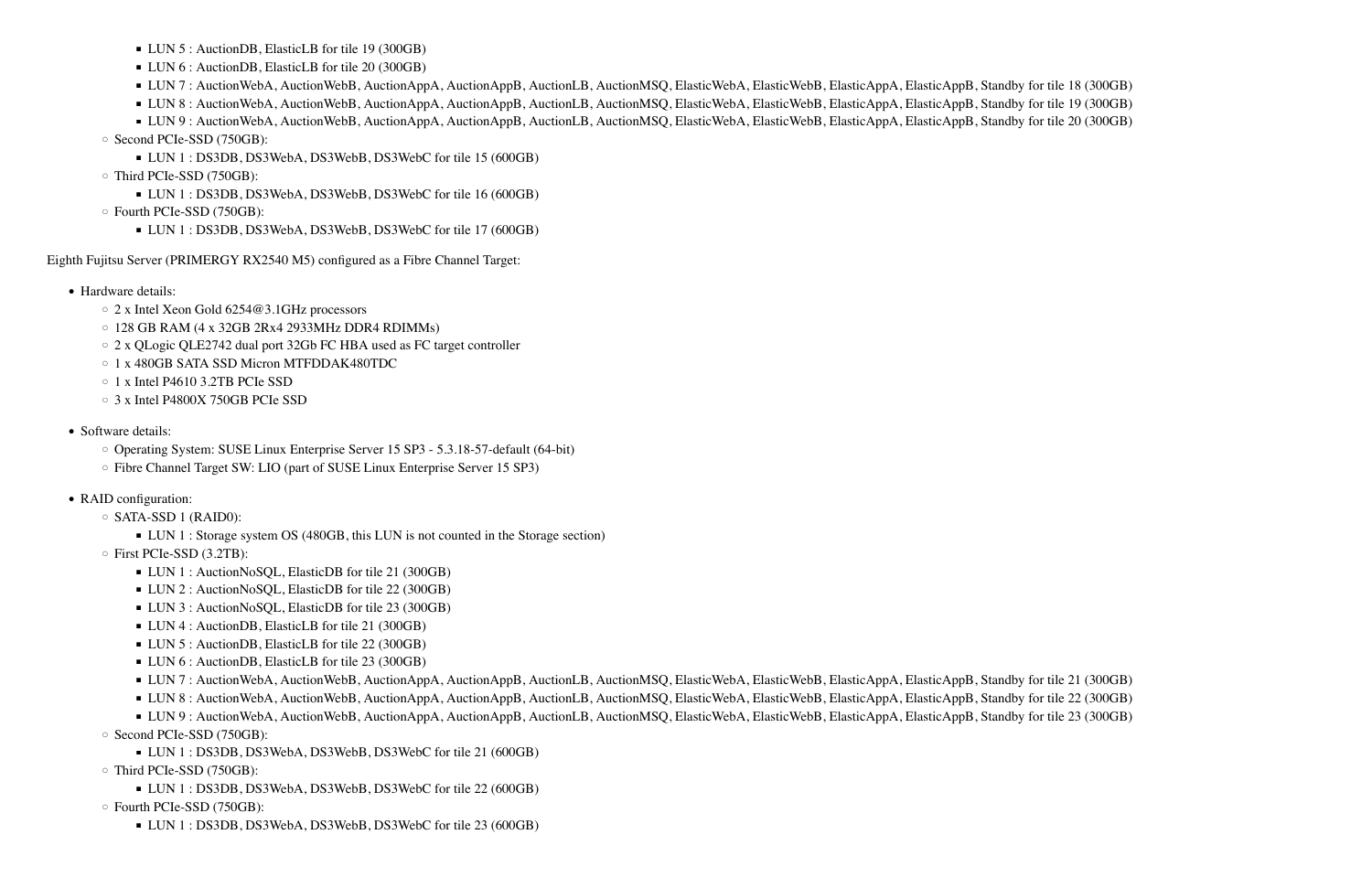- Hardware details:
	- 2 x Intel Xeon Gold 6254@3.1GHz processors
	- $\circ$  128 GB RAM (4 x 32GB 2Rx4 2933MHz DDR4 RDIMMs)
	- 2 x QLogic QLE2742 dual port 32Gb FC HBA used as FC target controller
	- 1 x 480GB SATA SSD Micron MTFDDAK480TDC
	- 1 x Intel P4610 3.2TB PCIe SSD
	- 3 x Intel P4800X 750GB PCIe SSD
- Software details:
	- Operating System: SUSE Linux Enterprise Server 15 SP3 5.3.18-57-default (64-bit)
	- Fibre Channel Target SW: LIO (part of SUSE Linux Enterprise Server 15 SP3)
- RAID configuration:
	- SATA-SSD 1 (RAID0):
		- LUN 1 : Storage system OS (480GB, this LUN is not counted in the Storage section)
	- First PCIe-SSD (3.2TB):
		- LUN 1 : AuctionNoSQL, ElasticDB for tile 21 (300GB)
		- LUN 2 : AuctionNoSQL, ElasticDB for tile 22 (300GB)
		- LUN 3 : AuctionNoSQL, ElasticDB for tile 23 (300GB)
		- LUN 4 : AuctionDB, ElasticLB for tile 21 (300GB)
		- LUN 5 : AuctionDB, ElasticLB for tile 22 (300GB)
		- LUN 6 : AuctionDB, ElasticLB for tile 23 (300GB)
		- LUN 7 : AuctionWebA, AuctionWebB, AuctionAppA, AuctionAppB, AuctionLB, AuctionMSQ, ElasticWebA, ElasticWebB, ElasticAppA, ElasticAppB, Standby for tile 21 (300GB)
		- LUN 8 : AuctionWebA, AuctionWebB, AuctionAppA, AuctionAppB, AuctionLB, AuctionMSQ, ElasticWebA, ElasticWebB, ElasticAppA, ElasticAppB, Standby for tile 22 (300GB)
	- LUN 9 : AuctionWebA, AuctionWebB, AuctionAppA, AuctionAppB, AuctionLB, AuctionMSQ, ElasticWebA, ElasticWebB, ElasticAppA, ElasticAppB, Standby for tile 23 (300GB) ◦ Second PCIe-SSD (750GB):
		- LUN 1 : DS3DB, DS3WebA, DS3WebB, DS3WebC for tile 21 (600GB)
	- Third PCIe-SSD (750GB):
	- LUN 1 : DS3DB, DS3WebA, DS3WebB, DS3WebC for tile 22 (600GB)
	- Fourth PCIe-SSD (750GB):
		- LUN 1 : DS3DB, DS3WebA, DS3WebB, DS3WebC for tile 23 (600GB)

- LUN 5 : AuctionDB, ElasticLB for tile 19 (300GB)
- LUN 6 : AuctionDB, ElasticLB for tile 20 (300GB)
- LUN 7 : AuctionWebA, AuctionWebB, AuctionAppA, AuctionAppB, AuctionLB, AuctionMSQ, ElasticWebA, ElasticWebB, ElasticAppA, ElasticAppB, Standby for tile 18 (300GB)
- LUN 8 : AuctionWebA, AuctionWebB, AuctionAppA, AuctionAppB, AuctionLB, AuctionMSQ, ElasticWebA, ElasticWebB, ElasticAppA, ElasticAppB, Standby for tile 19 (300GB)
- LUN 9 : AuctionWebA, AuctionWebB, AuctionAppA, AuctionAppB, AuctionLB, AuctionMSQ, ElasticWebA, ElasticWebB, ElasticAppA, ElasticAppB, Standby for tile 20 (300GB)
- Second PCIe-SSD (750GB):
	- LUN 1 : DS3DB, DS3WebA, DS3WebB, DS3WebC for tile 15 (600GB)
- Third PCIe-SSD (750GB):
	- LUN 1 : DS3DB, DS3WebA, DS3WebB, DS3WebC for tile 16 (600GB)
- Fourth PCIe-SSD (750GB):
	- LUN 1 : DS3DB, DS3WebA, DS3WebB, DS3WebC for tile 17 (600GB)

Eighth Fujitsu Server (PRIMERGY RX2540 M5) configured as a Fibre Channel Target: